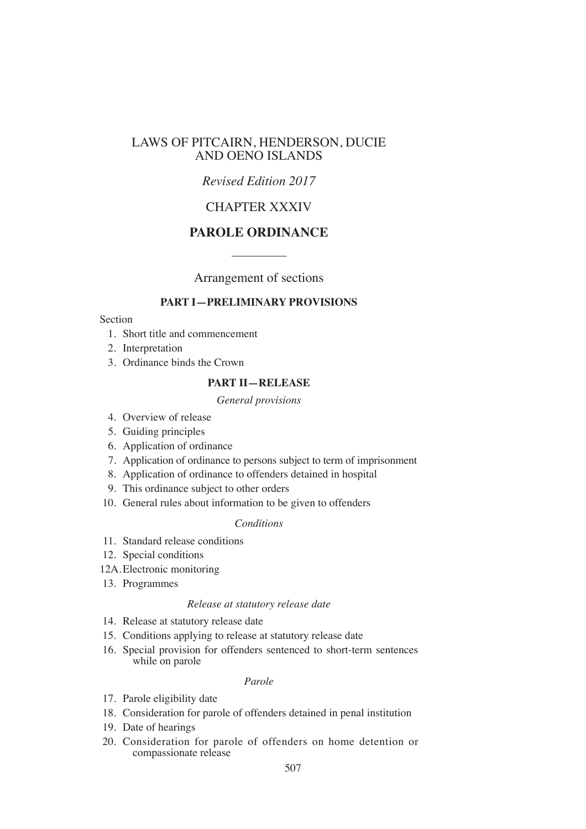# LAWS OF PITCAIRN, HENDERSON, DUCIE AND OENO ISLANDS

# *Revised Edition 2017*

# CHAPTER XXXIV

# **PAROLE ORDINANCE**

Arrangement of sections

### **PART I—PRELIMINARY PROVISIONS**

# Section

- 1. Short title and commencement
- 2. Interpretation
- 3. Ordinance binds the Crown

# **PART II—RELEASE**

#### *General provisions*

- 4. Overview of release
- 5. Guiding principles
- 6. Application of ordinance
- 7. Application of ordinance to persons subject to term of imprisonment
- 8. Application of ordinance to offenders detained in hospital
- 9. This ordinance subject to other orders
- 10. General rules about information to be given to offenders

### *Conditions*

- 11. Standard release conditions
- 12. Special conditions
- 12A.Electronic monitoring
- 13. Programmes

#### *Release at statutory release date*

- 14. Release at statutory release date
- 15. Conditions applying to release at statutory release date
- 16. Special provision for offenders sentenced to short-term sentences while on parole

#### *Parole*

- 17. Parole eligibility date
- 18. Consideration for parole of offenders detained in penal institution
- 19. Date of hearings
- 20. Consideration for parole of offenders on home detention or compassionate release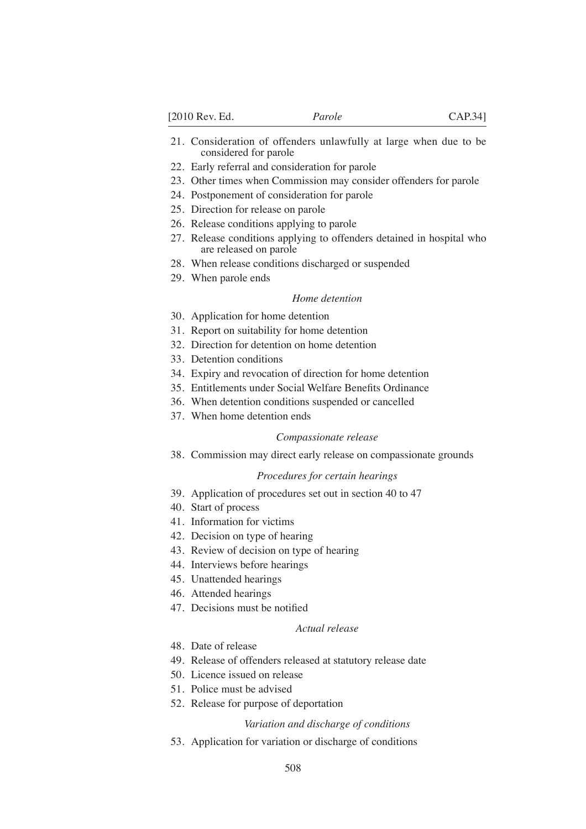- 21. Consideration of offenders unlawfully at large when due to be considered for parole
- 22. Early referral and consideration for parole
- 23. Other times when Commission may consider offenders for parole
- 24. Postponement of consideration for parole
- 25. Direction for release on parole
- 26. Release conditions applying to parole
- 27. Release conditions applying to offenders detained in hospital who are released on parole
- 28. When release conditions discharged or suspended
- 29. When parole ends

#### *Home detention*

- 30. Application for home detention
- 31. Report on suitability for home detention
- 32. Direction for detention on home detention
- 33. Detention conditions
- 34. Expiry and revocation of direction for home detention
- 35. Entitlements under Social Welfare Benefits Ordinance
- 36. When detention conditions suspended or cancelled
- 37. When home detention ends

#### *Compassionate release*

38. Commission may direct early release on compassionate grounds

#### *Procedures for certain hearings*

- 39. Application of procedures set out in section 40 to 47
- 40. Start of process
- 41. Information for victims
- 42. Decision on type of hearing
- 43. Review of decision on type of hearing
- 44. Interviews before hearings
- 45. Unattended hearings
- 46. Attended hearings
- 47. Decisions must be notified

#### *Actual release*

- 48. Date of release
- 49. Release of offenders released at statutory release date
- 50. Licence issued on release
- 51. Police must be advised
- 52. Release for purpose of deportation

#### *Variation and discharge of conditions*

53. Application for variation or discharge of conditions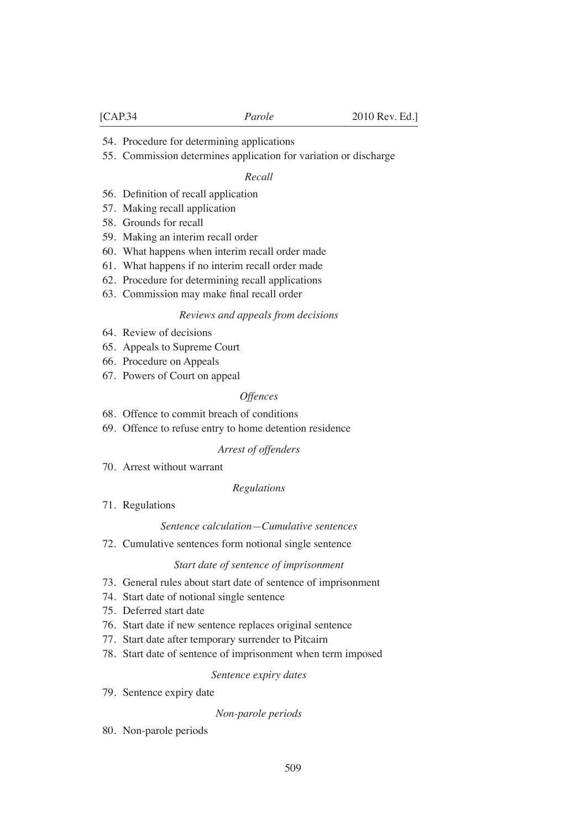- 54. Procedure for determining applications
- 55. Commission determines application for variation or discharge

#### *Recall*

- 56. Definition of recall application
- 57. Making recall application
- 58. Grounds for recall
- 59. Making an interim recall order
- 60. What happens when interim recall order made
- 61. What happens if no interim recall order made
- 62. Procedure for determining recall applications
- 63. Commission may make final recall order

#### *Reviews and appeals from decisions*

- 64. Review of decisions
- 65. Appeals to Supreme Court
- 66. Procedure on Appeals
- 67. Powers of Court on appeal

#### *Offences*

- 68. Offence to commit breach of conditions
- 69. Offence to refuse entry to home detention residence

#### *Arrest of offenders*

70. Arrest without warrant

#### *Regulations*

71. Regulations

#### *Sentence calculation—Cumulative sentences*

72. Cumulative sentences form notional single sentence

#### *Start date of sentence of imprisonment*

- 73. General rules about start date of sentence of imprisonment
- 74. Start date of notional single sentence
- 75. Deferred start date
- 76. Start date if new sentence replaces original sentence
- 77. Start date after temporary surrender to Pitcairn
- 78. Start date of sentence of imprisonment when term imposed

#### *Sentence expiry dates*

79. Sentence expiry date

#### *Non-parole periods*

80. Non-parole periods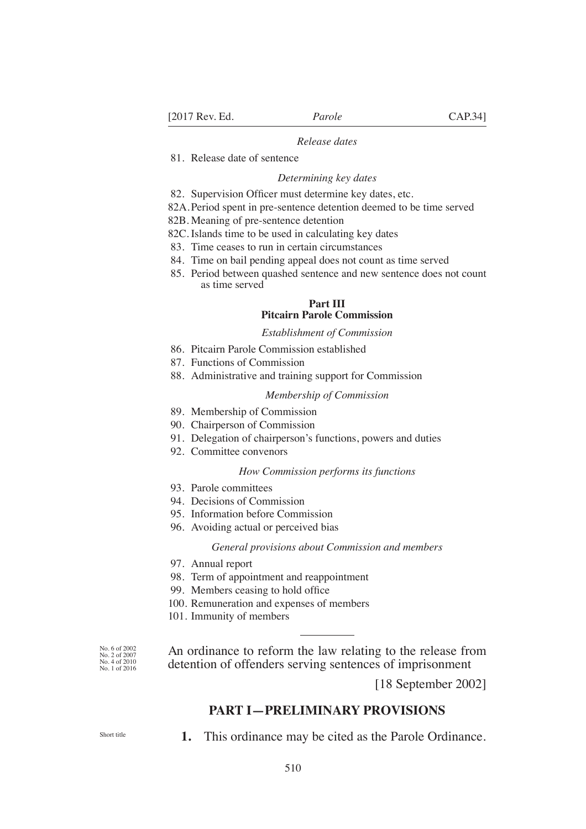#### *Release dates*

81. Release date of sentence

#### *Determining key dates*

- 82. Supervision Officer must determine key dates, etc.
- 82A.Period spent in pre-sentence detention deemed to be time served
- 82B. Meaning of pre-sentence detention
- 82C. Islands time to be used in calculating key dates
- 83. Time ceases to run in certain circumstances
- 84. Time on bail pending appeal does not count as time served
- 85. Period between quashed sentence and new sentence does not count as time served

#### **Part III Pitcairn Parole Commission**

#### *Establishment of Commission*

- 86. Pitcairn Parole Commission established
- 87. Functions of Commission
- 88. Administrative and training support for Commission

#### *Membership of Commission*

- 89. Membership of Commission
- 90. Chairperson of Commission
- 91. Delegation of chairperson's functions, powers and duties
- 92. Committee convenors

#### *How Commission performs its functions*

- 93. Parole committees
- 94. Decisions of Commission
- 95. Information before Commission
- 96. Avoiding actual or perceived bias

#### *General provisions about Commission and members*

- 97. Annual report
- 98. Term of appointment and reappointment
- 99. Members ceasing to hold office
- 100. Remuneration and expenses of members
- 101. Immunity of members

An ordinance to reform the law relating to the release from detention of offenders serving sentences of imprisonment

[18 September 2002]

# **PART I—PRELIMINARY PROVISIONS**

Short title

No. 6 of 2002 No. 2 of 2007 No. 4 of 2010 No. 1 of 2016

**1.** This ordinance may be cited as the Parole Ordinance.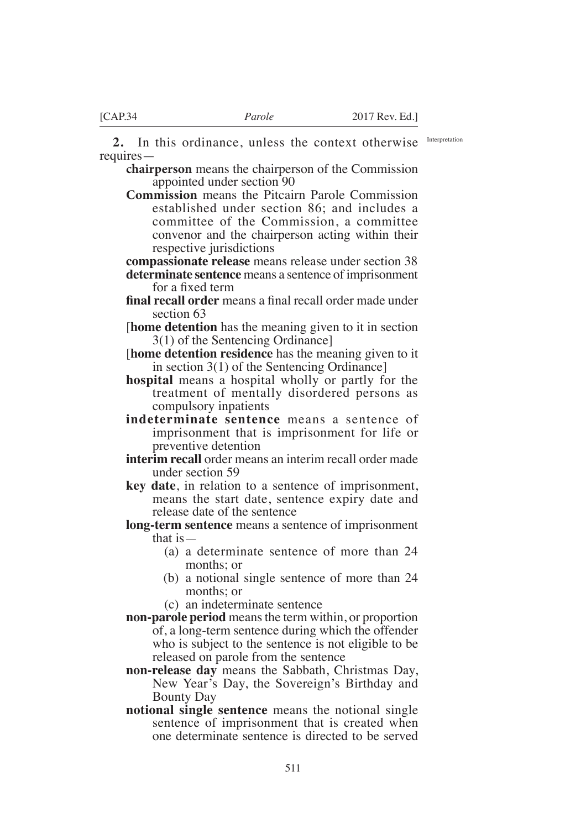**2.** In this ordinance, unless the context otherwise requires—

**chairperson** means the chairperson of the Commission appointed under section 90

**Commission** means the Pitcairn Parole Commission established under section 86; and includes a committee of the Commission, a committee convenor and the chairperson acting within their respective jurisdictions

**compassionate release** means release under section 38 **determinate sentence** means a sentence of imprisonment for a fixed term

- **final recall order** means a final recall order made under section 63
- [**home detention** has the meaning given to it in section 3(1) of the Sentencing Ordinance]
- [**home detention residence** has the meaning given to it in section 3(1) of the Sentencing Ordinance]
- **hospital** means a hospital wholly or partly for the treatment of mentally disordered persons as compulsory inpatients
- **indeterminate sentence** means a sentence of imprisonment that is imprisonment for life or preventive detention
- **interim recall** order means an interim recall order made under section 59
- **key date**, in relation to a sentence of imprisonment, means the start date, sentence expiry date and release date of the sentence
- **long-term sentence** means a sentence of imprisonment that is—
	- (a) a determinate sentence of more than 24 months; or
	- (b) a notional single sentence of more than 24 months; or
	- (c) an indeterminate sentence
- **non-parole period** means the term within, or proportion of, a long-term sentence during which the offender who is subject to the sentence is not eligible to be released on parole from the sentence
- **non-release day** means the Sabbath, Christmas Day, New Year's Day, the Sovereign's Birthday and Bounty Day
- **notional single sentence** means the notional single sentence of imprisonment that is created when one determinate sentence is directed to be served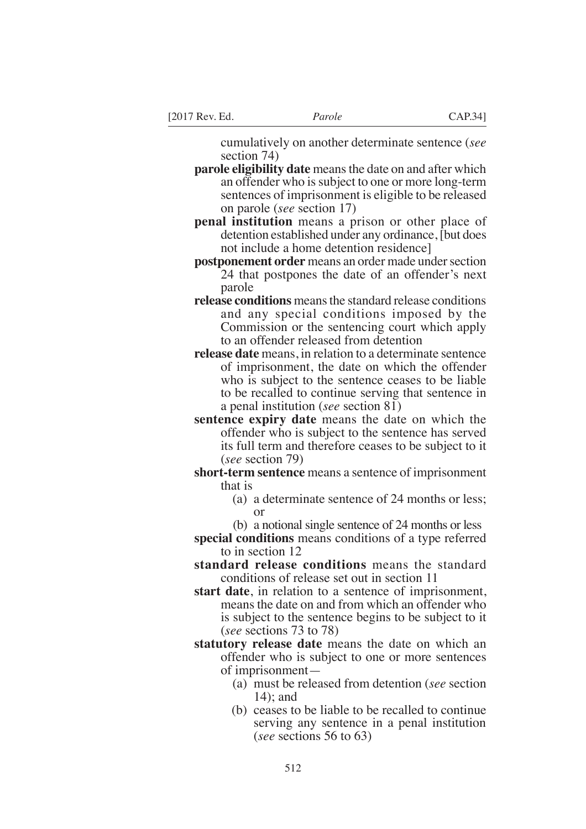cumulatively on another determinate sentence (*see* section 74)

- **parole eligibility date** means the date on and after which an offender who is subject to one or more long-term sentences of imprisonment is eligible to be released on parole (*see* section 17)
- **penal institution** means a prison or other place of detention established under any ordinance, [but does not include a home detention residence]
- **postponement order** means an order made under section 24 that postpones the date of an offender's next parole
- **release conditions** means the standard release conditions and any special conditions imposed by the Commission or the sentencing court which apply to an offender released from detention
- **release date** means, in relation to a determinate sentence of imprisonment, the date on which the offender who is subject to the sentence ceases to be liable to be recalled to continue serving that sentence in a penal institution (*see* section 81)
- **sentence expiry date** means the date on which the offender who is subject to the sentence has served its full term and therefore ceases to be subject to it (*see* section 79)
- **short-term sentence** means a sentence of imprisonment that is
	- (a) a determinate sentence of 24 months or less; or
	- (b) a notional single sentence of 24 months or less
- **special conditions** means conditions of a type referred to in section 12
- **standard release conditions** means the standard conditions of release set out in section 11
- **start date**, in relation to a sentence of imprisonment, means the date on and from which an offender who is subject to the sentence begins to be subject to it (*see* sections 73 to 78)
- **statutory release date** means the date on which an offender who is subject to one or more sentences of imprisonment—
	- (a) must be released from detention (*see* section 14); and
	- (b) ceases to be liable to be recalled to continue serving any sentence in a penal institution (*see* sections 56 to 63)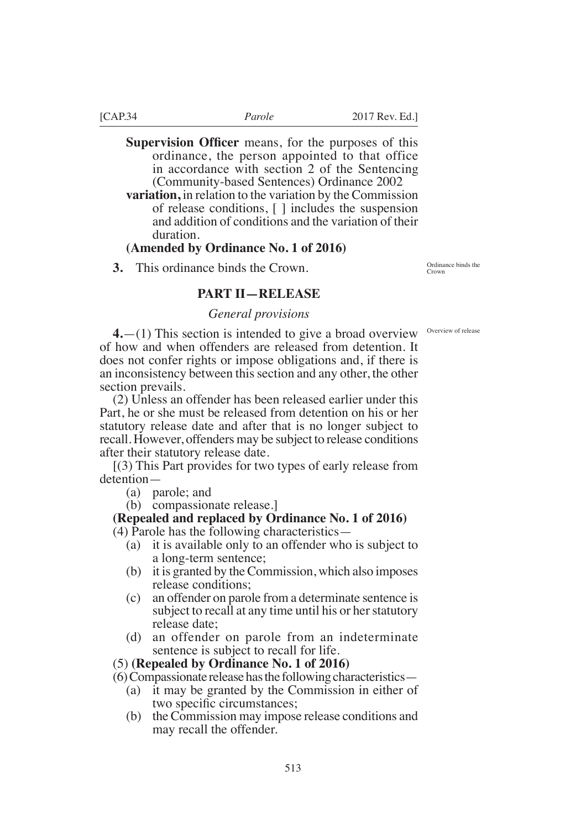**Supervision Officer** means, for the purposes of this ordinance, the person appointed to that office in accordance with section 2 of the Sentencing (Community-based Sentences) Ordinance 2002

**variation,** in relation to the variation by the Commission of release conditions, [ ] includes the suspension and addition of conditions and the variation of their duration.

# **(Amended by Ordinance No. 1 of 2016)**

**3.** This ordinance binds the Crown.

Ordinance binds the Crown

*General provisions*

**4.** (1) This section is intended to give a broad overview <sup>Overview of release</sup> of how and when offenders are released from detention. It does not confer rights or impose obligations and, if there is an inconsistency between this section and any other, the other section prevails.

**PART II—RELEASE**

(2) Unless an offender has been released earlier under this Part, he or she must be released from detention on his or her statutory release date and after that is no longer subject to recall. However, offenders may be subject to release conditions after their statutory release date.

[(3) This Part provides for two types of early release from detention—

(a) parole; and

(b) compassionate release.]

# **(Repealed and replaced by Ordinance No. 1 of 2016)**

(4) Parole has the following characteristics—

- (a) it is available only to an offender who is subject to a long-term sentence;
- (b) it is granted by the Commission, which also imposes release conditions;
- (c) an offender on parole from a determinate sentence is subject to recall at any time until his or her statutory release date;
- (d) an offender on parole from an indeterminate sentence is subject to recall for life.

### (5) **(Repealed by Ordinance No. 1 of 2016)**

(6) Compassionate release has the following characteristics—

- (a) it may be granted by the Commission in either of two specific circumstances;
- (b) the Commission may impose release conditions and may recall the offender.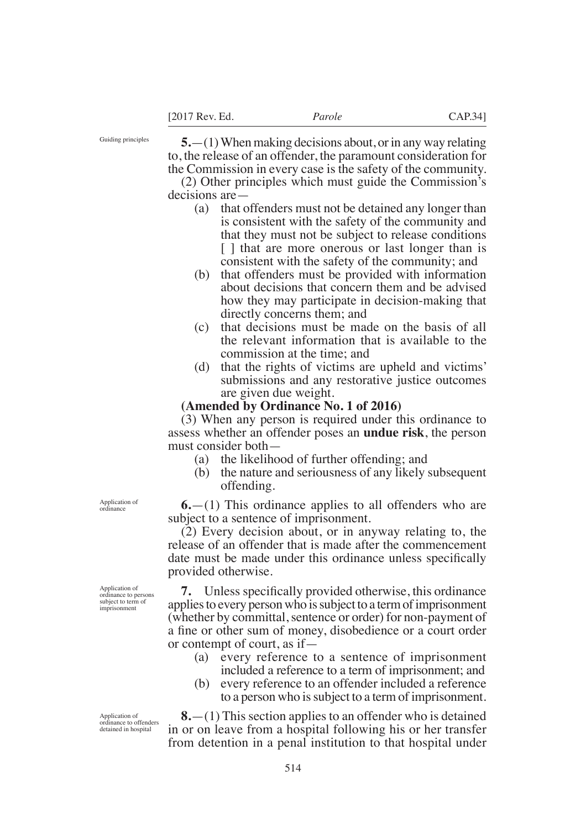Guiding principles

**5.**—(1) When making decisions about, or in any way relating to, the release of an offender, the paramount consideration for the Commission in every case is the safety of the community.

(2) Other principles which must guide the Commission's decisions are—

- (a) that offenders must not be detained any longer than is consistent with the safety of the community and that they must not be subject to release conditions [ ] that are more onerous or last longer than is consistent with the safety of the community; and
- (b) that offenders must be provided with information about decisions that concern them and be advised how they may participate in decision-making that directly concerns them; and
- (c) that decisions must be made on the basis of all the relevant information that is available to the commission at the time; and
- (d) that the rights of victims are upheld and victims' submissions and any restorative justice outcomes are given due weight.

### **(Amended by Ordinance No. 1 of 2016)**

(3) When any person is required under this ordinance to assess whether an offender poses an **undue risk**, the person must consider both—

- (a) the likelihood of further offending; and
- (b) the nature and seriousness of any likely subsequent offending.

**6.**—(1) This ordinance applies to all offenders who are subject to a sentence of imprisonment.

(2) Every decision about, or in anyway relating to, the release of an offender that is made after the commencement date must be made under this ordinance unless specifically provided otherwise.

**7.** Unless specifically provided otherwise, this ordinance applies to every person who is subject to a term of imprisonment (whether by committal, sentence or order) for non-payment of a fine or other sum of money, disobedience or a court order or contempt of court, as if—

- (a) every reference to a sentence of imprisonment included a reference to a term of imprisonment; and
- (b) every reference to an offender included a reference to a person who is subject to a term of imprisonment.

**8.**—(1) This section applies to an offender who is detained in or on leave from a hospital following his or her transfer from detention in a penal institution to that hospital under

Application of ordinance

Application of ordinance to persons subject to term of imprisonment

Application of ordinance to offenders detained in hospital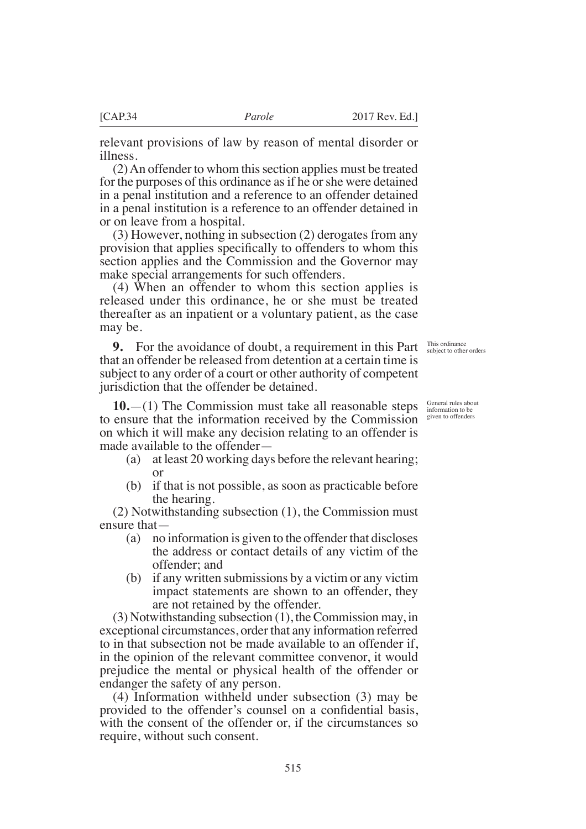relevant provisions of law by reason of mental disorder or illness.

(2) An offender to whom this section applies must be treated for the purposes of this ordinance as if he or she were detained in a penal institution and a reference to an offender detained in a penal institution is a reference to an offender detained in or on leave from a hospital.

(3) However, nothing in subsection (2) derogates from any provision that applies specifically to offenders to whom this section applies and the Commission and the Governor may make special arrangements for such offenders.

(4) When an offender to whom this section applies is released under this ordinance, he or she must be treated thereafter as an inpatient or a voluntary patient, as the case may be.

**9.** For the avoidance of doubt, a requirement in this Part that an offender be released from detention at a certain time is subject to any order of a court or other authority of competent jurisdiction that the offender be detained. This ordinance subject to other orders

General rules about information to be

given to offenders

**10.**—(1) The Commission must take all reasonable steps to ensure that the information received by the Commission on which it will make any decision relating to an offender is made available to the offender—

- (a) at least 20 working days before the relevant hearing; or
- (b) if that is not possible, as soon as practicable before the hearing.

(2) Notwithstanding subsection (1), the Commission must ensure that—

- (a) no information is given to the offender that discloses the address or contact details of any victim of the offender; and
- (b) if any written submissions by a victim or any victim impact statements are shown to an offender, they are not retained by the offender.

(3) Notwithstanding subsection (1), the Commission may, in exceptional circumstances, order that any information referred to in that subsection not be made available to an offender if, in the opinion of the relevant committee convenor, it would prejudice the mental or physical health of the offender or endanger the safety of any person.

(4) Information withheld under subsection (3) may be provided to the offender's counsel on a confidential basis. with the consent of the offender or, if the circumstances so require, without such consent.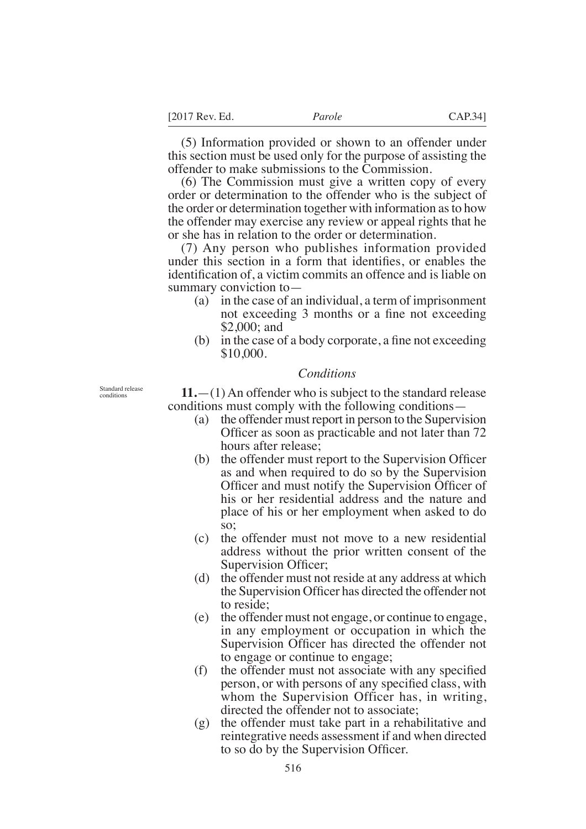(5) Information provided or shown to an offender under this section must be used only for the purpose of assisting the offender to make submissions to the Commission.

(6) The Commission must give a written copy of every order or determination to the offender who is the subject of the order or determination together with information as to how the offender may exercise any review or appeal rights that he or she has in relation to the order or determination.

(7) Any person who publishes information provided under this section in a form that identifies, or enables the identification of, a victim commits an offence and is liable on summary conviction to—

- (a) in the case of an individual, a term of imprisonment not exceeding 3 months or a fine not exceeding \$2,000; and
- (b) in the case of a body corporate, a fine not exceeding \$10,000.

# *Conditions*

**11.**—(1) An offender who is subject to the standard release conditions must comply with the following conditions—

- (a) the offender must report in person to the Supervision Officer as soon as practicable and not later than 72 hours after release;
- $(b)$  the offender must report to the Supervision Officer as and when required to do so by the Supervision Officer and must notify the Supervision Officer of his or her residential address and the nature and place of his or her employment when asked to do so;
- (c) the offender must not move to a new residential address without the prior written consent of the Supervision Officer;
- (d) the offender must not reside at any address at which the Supervision Officer has directed the offender not to reside;
- (e) the offender must not engage, or continue to engage, in any employment or occupation in which the Supervision Officer has directed the offender not to engage or continue to engage;
- $(f)$  the offender must not associate with any specified person, or with persons of any specified class, with whom the Supervision Officer has, in writing, directed the offender not to associate;
- (g) the offender must take part in a rehabilitative and reintegrative needs assessment if and when directed to so do by the Supervision Officer.

Standard release conditions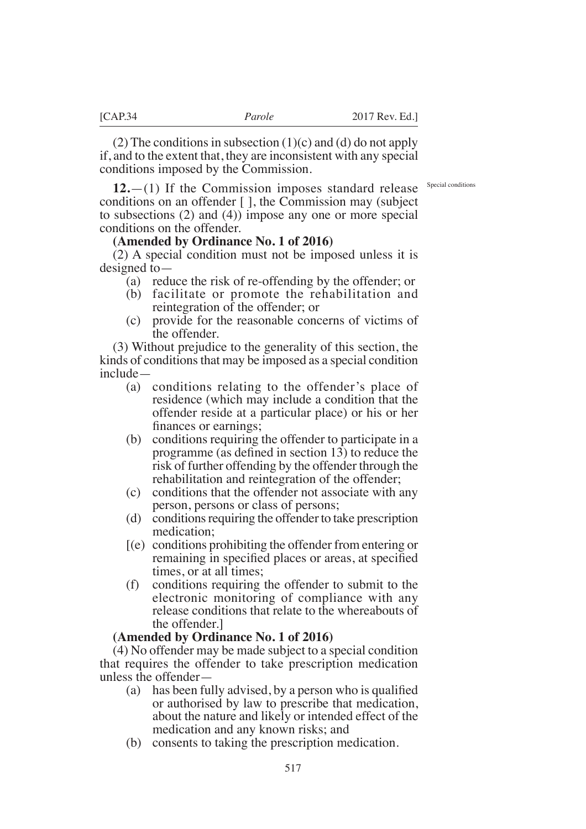(2) The conditions in subsection  $(1)(c)$  and  $(d)$  do not apply if, and to the extent that, they are inconsistent with any special conditions imposed by the Commission.

Special conditions

**12.**—(1) If the Commission imposes standard release conditions on an offender [ ], the Commission may (subject to subsections (2) and (4)) impose any one or more special conditions on the offender.

### **(Amended by Ordinance No. 1 of 2016)**

(2) A special condition must not be imposed unless it is designed to—

- (a) reduce the risk of re-offending by the offender; or
- (b) facilitate or promote the rehabilitation and reintegration of the offender; or
- (c) provide for the reasonable concerns of victims of the offender.

(3) Without prejudice to the generality of this section, the kinds of conditions that may be imposed as a special condition include—

- (a) conditions relating to the offender's place of residence (which may include a condition that the offender reside at a particular place) or his or her finances or earnings:
- (b) conditions requiring the offender to participate in a programme (as defined in section 13) to reduce the risk of further offending by the offender through the rehabilitation and reintegration of the offender;
- (c) conditions that the offender not associate with any person, persons or class of persons;
- (d) conditions requiring the offender to take prescription medication;
- [(e) conditions prohibiting the offender from entering or remaining in specified places or areas, at specified times, or at all times;
- (f) conditions requiring the offender to submit to the electronic monitoring of compliance with any release conditions that relate to the whereabouts of the offender.]

#### **(Amended by Ordinance No. 1 of 2016)**

(4) No offender may be made subject to a special condition that requires the offender to take prescription medication unless the offender—

- (a) has been fully advised, by a person who is qualified or authorised by law to prescribe that medication, about the nature and likely or intended effect of the medication and any known risks; and
- (b) consents to taking the prescription medication.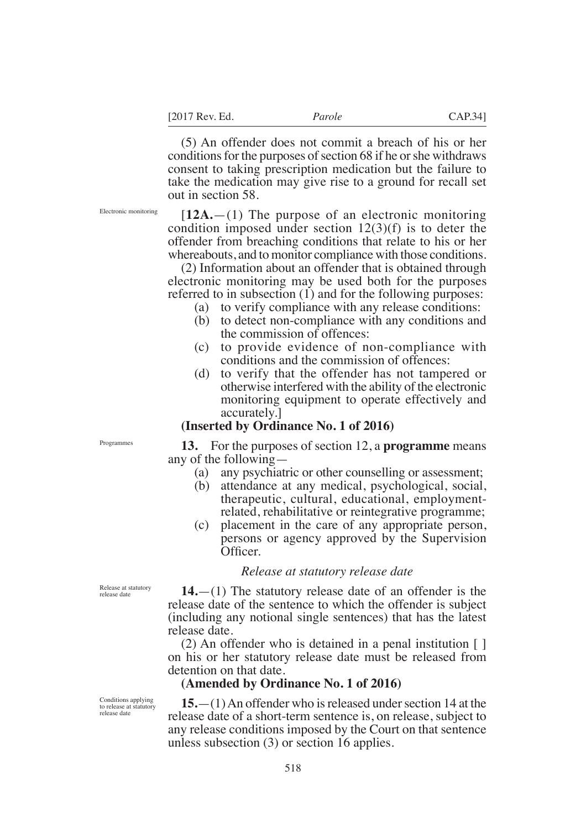(5) An offender does not commit a breach of his or her conditions for the purposes of section 68 if he or she withdraws consent to taking prescription medication but the failure to take the medication may give rise to a ground for recall set out in section 58.

Electronic monitoring

[**12A.**—(1) The purpose of an electronic monitoring condition imposed under section  $12(3)(f)$  is to deter the offender from breaching conditions that relate to his or her whereabouts, and to monitor compliance with those conditions.

(2) Information about an offender that is obtained through electronic monitoring may be used both for the purposes referred to in subsection (1) and for the following purposes:

- (a) to verify compliance with any release conditions:
- (b) to detect non-compliance with any conditions and the commission of offences:
- (c) to provide evidence of non-compliance with conditions and the commission of offences:
- (d) to verify that the offender has not tampered or otherwise interfered with the ability of the electronic monitoring equipment to operate effectively and accurately.]

# **(Inserted by Ordinance No. 1 of 2016)**

**13.** For the purposes of section 12, a **programme** means any of the following—

- (a) any psychiatric or other counselling or assessment;
- (b) attendance at any medical, psychological, social, therapeutic, cultural, educational, employmentrelated, rehabilitative or reintegrative programme;
- (c) placement in the care of any appropriate person, persons or agency approved by the Supervision Officer.

### *Release at statutory release date*

**14.**—(1) The statutory release date of an offender is the release date of the sentence to which the offender is subject (including any notional single sentences) that has the latest release date.

(2) An offender who is detained in a penal institution [ ] on his or her statutory release date must be released from detention on that date.

# **(Amended by Ordinance No. 1 of 2016)**

**15.**—(1) An offender who is released under section 14 at the release date of a short-term sentence is, on release, subject to any release conditions imposed by the Court on that sentence unless subsection (3) or section 16 applies.

Programmes

Release at statutory release date

Conditions applying to release at statutory release date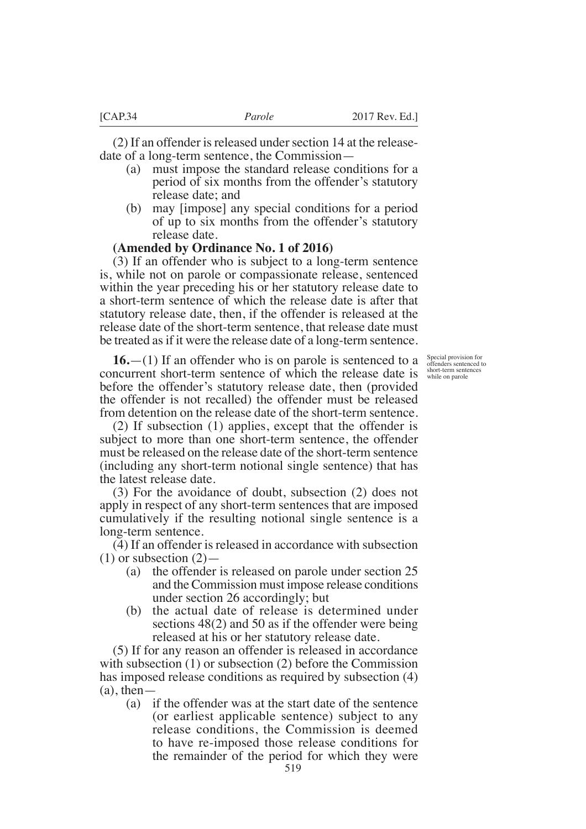(2) If an offender is released under section 14 at the releasedate of a long-term sentence, the Commission—

- (a) must impose the standard release conditions for a period of six months from the offender's statutory release date; and
- (b) may [impose] any special conditions for a period of up to six months from the offender's statutory release date.

### **(Amended by Ordinance No. 1 of 2016)**

(3) If an offender who is subject to a long-term sentence is, while not on parole or compassionate release, sentenced within the year preceding his or her statutory release date to a short-term sentence of which the release date is after that statutory release date, then, if the offender is released at the release date of the short-term sentence, that release date must be treated as if it were the release date of a long-term sentence.

Special provision for offenders sentenced to short-term sentences while on parole

**16.**—(1) If an offender who is on parole is sentenced to a concurrent short-term sentence of which the release date is before the offender's statutory release date, then (provided the offender is not recalled) the offender must be released from detention on the release date of the short-term sentence.

(2) If subsection (1) applies, except that the offender is subject to more than one short-term sentence, the offender must be released on the release date of the short-term sentence (including any short-term notional single sentence) that has the latest release date.

(3) For the avoidance of doubt, subsection (2) does not apply in respect of any short-term sentences that are imposed cumulatively if the resulting notional single sentence is a long-term sentence.

(4) If an offender is released in accordance with subsection  $(1)$  or subsection  $(2)$ —

- (a) the offender is released on parole under section 25 and the Commission must impose release conditions under section 26 accordingly; but
- (b) the actual date of release is determined under sections 48(2) and 50 as if the offender were being released at his or her statutory release date.

(5) If for any reason an offender is released in accordance with subsection (1) or subsection (2) before the Commission has imposed release conditions as required by subsection (4)  $(a)$ , then  $-$ 

(a) if the offender was at the start date of the sentence (or earliest applicable sentence) subject to any release conditions, the Commission is deemed to have re-imposed those release conditions for the remainder of the period for which they were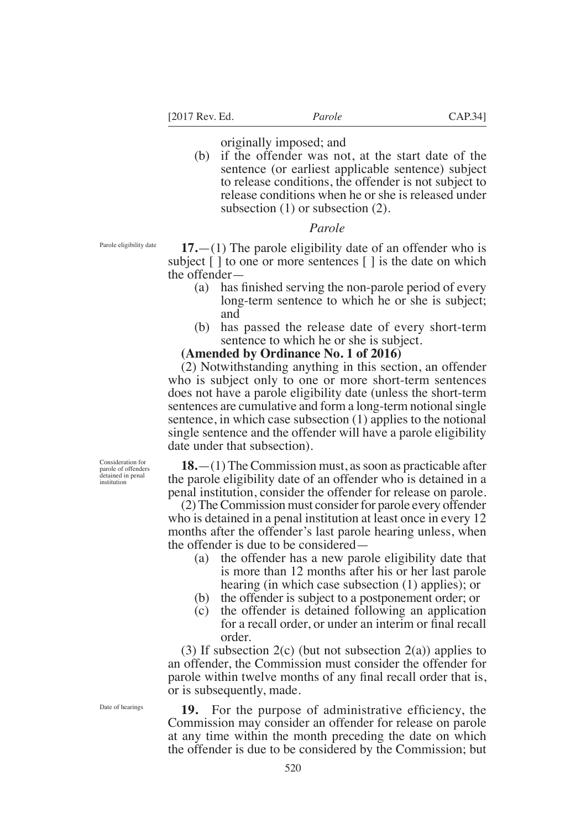[2017 Rev. Ed. *Parole* CAP.34]

originally imposed; and

(b) if the offender was not, at the start date of the sentence (or earliest applicable sentence) subject to release conditions, the offender is not subject to release conditions when he or she is released under subsection (1) or subsection (2).

# *Parole*

Parole eligibility date

**17.**—(1) The parole eligibility date of an offender who is subject  $\lceil \cdot \rceil$  to one or more sentences  $\lceil \cdot \rceil$  is the date on which the offender—

- (a) has finished serving the non-parole period of every long-term sentence to which he or she is subject; and
- (b) has passed the release date of every short-term sentence to which he or she is subject.

### **(Amended by Ordinance No. 1 of 2016)**

(2) Notwithstanding anything in this section, an offender who is subject only to one or more short-term sentences does not have a parole eligibility date (unless the short-term sentences are cumulative and form a long-term notional single sentence, in which case subsection (1) applies to the notional single sentence and the offender will have a parole eligibility date under that subsection).

**18.**—(1) The Commission must, as soon as practicable after the parole eligibility date of an offender who is detained in a penal institution, consider the offender for release on parole.

(2) The Commission must consider for parole every offender who is detained in a penal institution at least once in every 12 months after the offender's last parole hearing unless, when the offender is due to be considered—

- (a) the offender has a new parole eligibility date that is more than 12 months after his or her last parole hearing (in which case subsection (1) applies); or
- (b) the offender is subject to a postponement order; or
- (c) the offender is detained following an application for a recall order, or under an interim or final recall order.

(3) If subsection  $2(c)$  (but not subsection  $2(a)$ ) applies to an offender, the Commission must consider the offender for parole within twelve months of any final recall order that is, or is subsequently, made.

Date of hearings

Consideration for parole of offenders detained in penal institution

> **19.** For the purpose of administrative efficiency, the Commission may consider an offender for release on parole at any time within the month preceding the date on which the offender is due to be considered by the Commission; but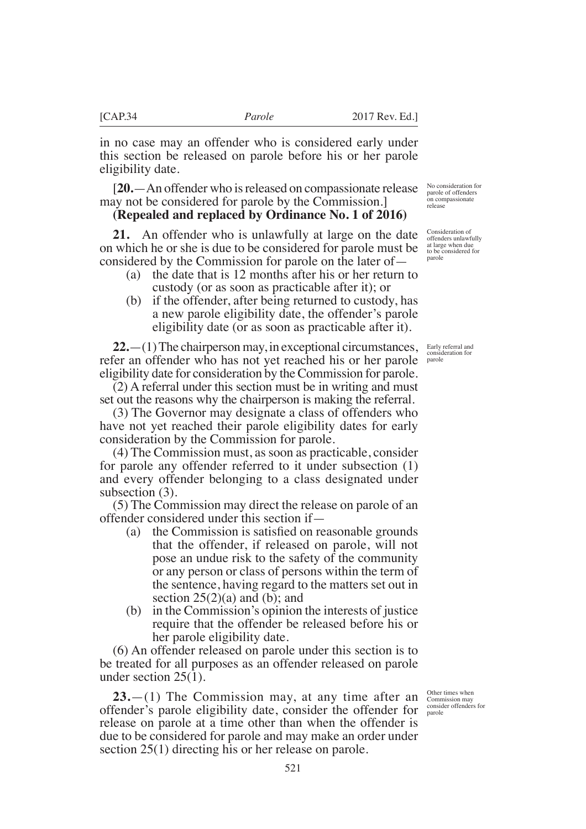in no case may an offender who is considered early under this section be released on parole before his or her parole eligibility date.

[**20.**—An offender who is released on compassionate release may not be considered for parole by the Commission.]

# **(Repealed and replaced by Ordinance No. 1 of 2016)**

**21.** An offender who is unlawfully at large on the date on which he or she is due to be considered for parole must be considered by the Commission for parole on the later of—

- (a) the date that is 12 months after his or her return to custody (or as soon as practicable after it); or
- (b) if the offender, after being returned to custody, has a new parole eligibility date, the offender's parole eligibility date (or as soon as practicable after it).

**22.**—(1) The chairperson may, in exceptional circumstances, refer an offender who has not yet reached his or her parole eligibility date for consideration by the Commission for parole.

(2) A referral under this section must be in writing and must set out the reasons why the chairperson is making the referral.

 $(3)$  The Governor may designate a class of offenders who have not yet reached their parole eligibility dates for early consideration by the Commission for parole.

(4) The Commission must, as soon as practicable, consider for parole any offender referred to it under subsection (1) and every offender belonging to a class designated under subsection (3).

(5) The Commission may direct the release on parole of an offender considered under this section if—

- (a) the Commission is satisfied on reasonable grounds that the offender, if released on parole, will not pose an undue risk to the safety of the community or any person or class of persons within the term of the sentence, having regard to the matters set out in section  $25(2)(a)$  and (b); and
- (b) in the Commission's opinion the interests of justice require that the offender be released before his or her parole eligibility date.

(6) An offender released on parole under this section is to be treated for all purposes as an offender released on parole under section 25(1).

**23.**—(1) The Commission may, at any time after an offender's parole eligibility date, consider the offender for consider offenders for release on parole at a time other than when the offender is due to be considered for parole and may make an order under section 25(1) directing his or her release on parole.

No consideration for parole of offenders on compassionate release

Consideration of offenders unlawfully at large when due to be considered for parole

Early referral and consideration for parole

Other times when Commission may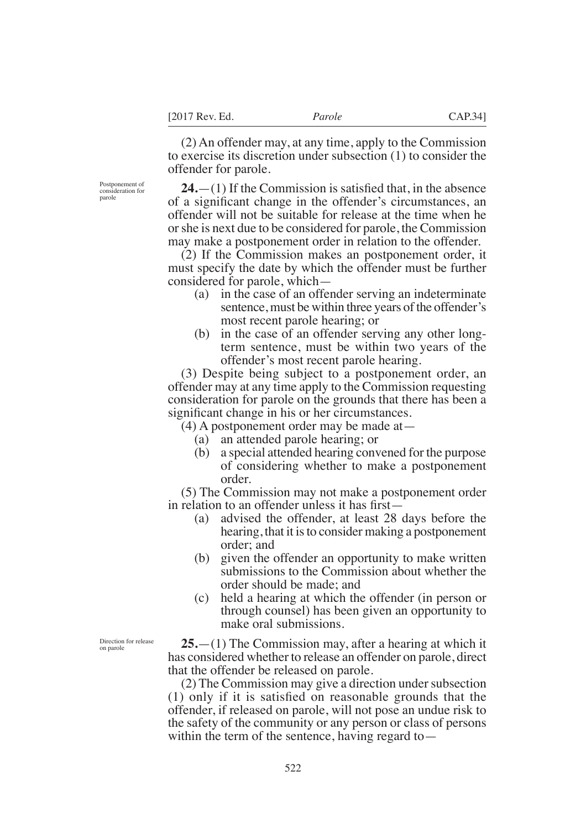(2) An offender may, at any time, apply to the Commission to exercise its discretion under subsection (1) to consider the offender for parole.

Postponement of consideration for parole

 $24.$ —(1) If the Commission is satisfied that, in the absence of a significant change in the offender's circumstances, an offender will not be suitable for release at the time when he or she is next due to be considered for parole, the Commission may make a postponement order in relation to the offender.

(2) If the Commission makes an postponement order, it must specify the date by which the offender must be further considered for parole, which—

- (a) in the case of an offender serving an indeterminate sentence, must be within three years of the offender's most recent parole hearing; or
- (b) in the case of an offender serving any other longterm sentence, must be within two years of the offender's most recent parole hearing.

(3) Despite being subject to a postponement order, an offender may at any time apply to the Commission requesting consideration for parole on the grounds that there has been a significant change in his or her circumstances.

(4) A postponement order may be made at—

- (a) an attended parole hearing; or
- (b) a special attended hearing convened for the purpose of considering whether to make a postponement order.

(5) The Commission may not make a postponement order in relation to an offender unless it has first—

- (a) advised the offender, at least 28 days before the hearing, that it is to consider making a postponement order; and
- (b) given the offender an opportunity to make written submissions to the Commission about whether the order should be made; and
- (c) held a hearing at which the offender (in person or through counsel) has been given an opportunity to make oral submissions.

Direction for release on parole

**25.**—(1) The Commission may, after a hearing at which it has considered whether to release an offender on parole, direct that the offender be released on parole.

(2) The Commission may give a direction under subsection  $(1)$  only if it is satisfied on reasonable grounds that the offender, if released on parole, will not pose an undue risk to the safety of the community or any person or class of persons within the term of the sentence, having regard to—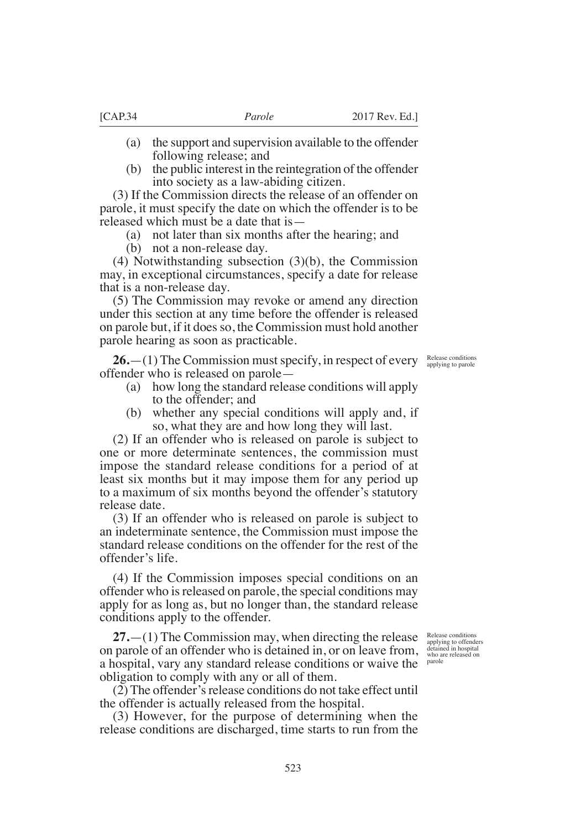- (a) the support and supervision available to the offender following release; and
- (b) the public interest in the reintegration of the offender into society as a law-abiding citizen.

(3) If the Commission directs the release of an offender on parole, it must specify the date on which the offender is to be released which must be a date that is—

(a) not later than six months after the hearing; and

(b) not a non-release day.

(4) Notwithstanding subsection (3)(b), the Commission may, in exceptional circumstances, specify a date for release that is a non-release day.

(5) The Commission may revoke or amend any direction under this section at any time before the offender is released on parole but, if it does so, the Commission must hold another parole hearing as soon as practicable.

**26.**—(1) The Commission must specify, in respect of every offender who is released on parole—

- (a) how long the standard release conditions will apply to the offender; and
- (b) whether any special conditions will apply and, if so, what they are and how long they will last.

(2) If an offender who is released on parole is subject to one or more determinate sentences, the commission must impose the standard release conditions for a period of at least six months but it may impose them for any period up to a maximum of six months beyond the offender's statutory release date.

(3) If an offender who is released on parole is subject to an indeterminate sentence, the Commission must impose the standard release conditions on the offender for the rest of the offender's life.

(4) If the Commission imposes special conditions on an offender who is released on parole, the special conditions may apply for as long as, but no longer than, the standard release conditions apply to the offender.

**27.**—(1) The Commission may, when directing the release on parole of an offender who is detained in, or on leave from, a hospital, vary any standard release conditions or waive the <sup>parole</sup> obligation to comply with any or all of them.

(2) The offender's release conditions do not take effect until the offender is actually released from the hospital.

(3) However, for the purpose of determining when the release conditions are discharged, time starts to run from the

Release conditions applying to offenders detained in hospital who are released on

Release conditions applying to parole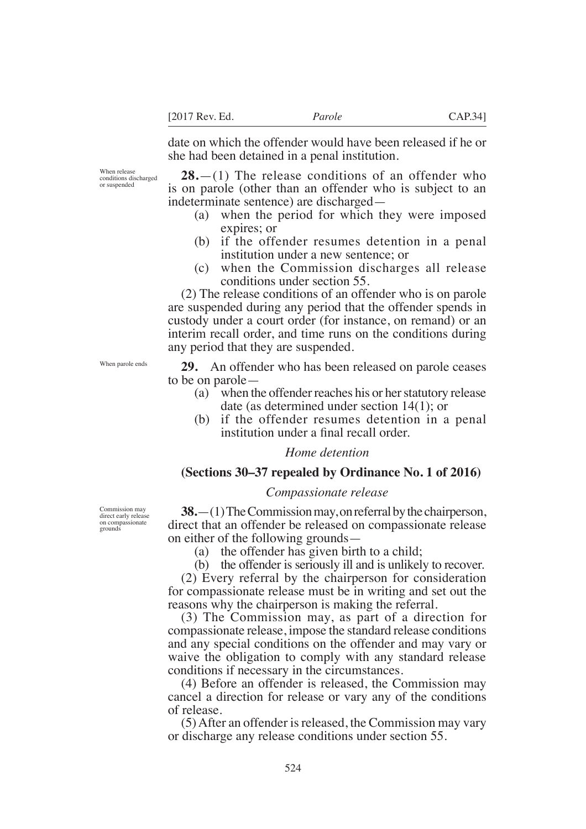date on which the offender would have been released if he or she had been detained in a penal institution.

When release conditions discharged or suspended

**28.**—(1) The release conditions of an offender who is on parole (other than an offender who is subject to an indeterminate sentence) are discharged—

- (a) when the period for which they were imposed expires; or
- (b) if the offender resumes detention in a penal institution under a new sentence; or
- (c) when the Commission discharges all release conditions under section 55.

(2) The release conditions of an offender who is on parole are suspended during any period that the offender spends in custody under a court order (for instance, on remand) or an interim recall order, and time runs on the conditions during any period that they are suspended.

**29.** An offender who has been released on parole ceases to be on parole—

- (a) when the offender reaches his or her statutory release date (as determined under section 14(1); or
- (b) if the offender resumes detention in a penal institution under a fnal recall order.

### *Home detention*

# **(Sections 30–37 repealed by Ordinance No. 1 of 2016)**

### *Compassionate release*

Commission may direct early relea on compassionate grounds

**38.**—(1) The Commission may, on referral by the chairperson, direct that an offender be released on compassionate release on either of the following grounds—

(a) the offender has given birth to a child;

(b) the offender is seriously ill and is unlikely to recover.

(2) Every referral by the chairperson for consideration for compassionate release must be in writing and set out the reasons why the chairperson is making the referral.

(3) The Commission may, as part of a direction for compassionate release, impose the standard release conditions and any special conditions on the offender and may vary or waive the obligation to comply with any standard release conditions if necessary in the circumstances.

(4) Before an offender is released, the Commission may cancel a direction for release or vary any of the conditions of release.

(5) After an offender is released, the Commission may vary or discharge any release conditions under section 55.

When parole ends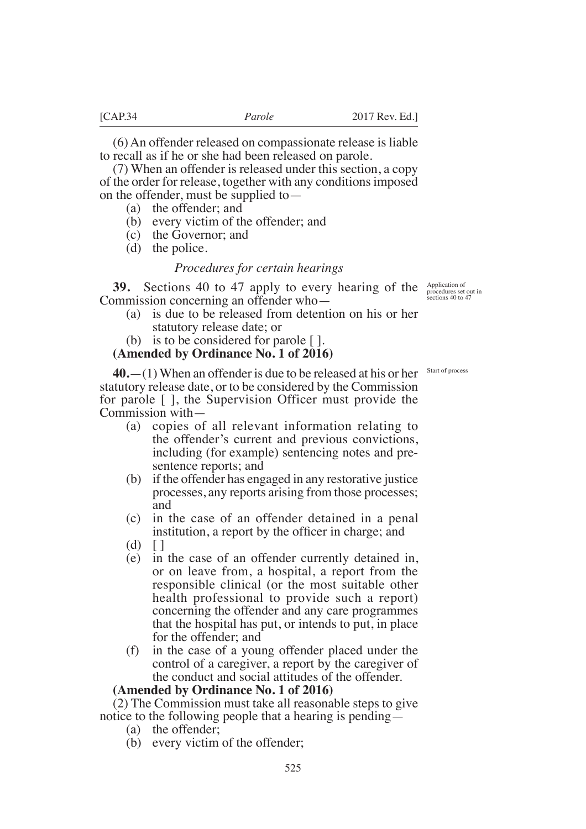(6) An offender released on compassionate release is liable to recall as if he or she had been released on parole.

(7) When an offender is released under this section, a copy of the order for release, together with any conditions imposed on the offender, must be supplied to—

- (a) the offender; and
- (b) every victim of the offender; and
- (c) the Governor; and
- (d) the police.

### *Procedures for certain hearings*

**39.** Sections 40 to 47 apply to every hearing of the Application of Commission concerning an offender who—

- (a) is due to be released from detention on his or her statutory release date; or
- (b) is to be considered for parole [ ].

### **(Amended by Ordinance No. 1 of 2016)**

Start of process

procedures set out in sections 40 to 47

**40.**—(1) When an offender is due to be released at his or her statutory release date, or to be considered by the Commission for parole [ ], the Supervision Officer must provide the Commission with—

- (a) copies of all relevant information relating to the offender's current and previous convictions, including (for example) sentencing notes and presentence reports; and
- (b) if the offender has engaged in any restorative justice processes, any reports arising from those processes; and
- (c) in the case of an offender detained in a penal institution, a report by the officer in charge; and
- $(d)$   $\lceil$   $\rceil$
- (e) in the case of an offender currently detained in, or on leave from, a hospital, a report from the responsible clinical (or the most suitable other health professional to provide such a report) concerning the offender and any care programmes that the hospital has put, or intends to put, in place for the offender; and
- (f) in the case of a young offender placed under the control of a caregiver, a report by the caregiver of the conduct and social attitudes of the offender.

#### **(Amended by Ordinance No. 1 of 2016)**

(2) The Commission must take all reasonable steps to give notice to the following people that a hearing is pending—

- (a) the offender;
- (b) every victim of the offender;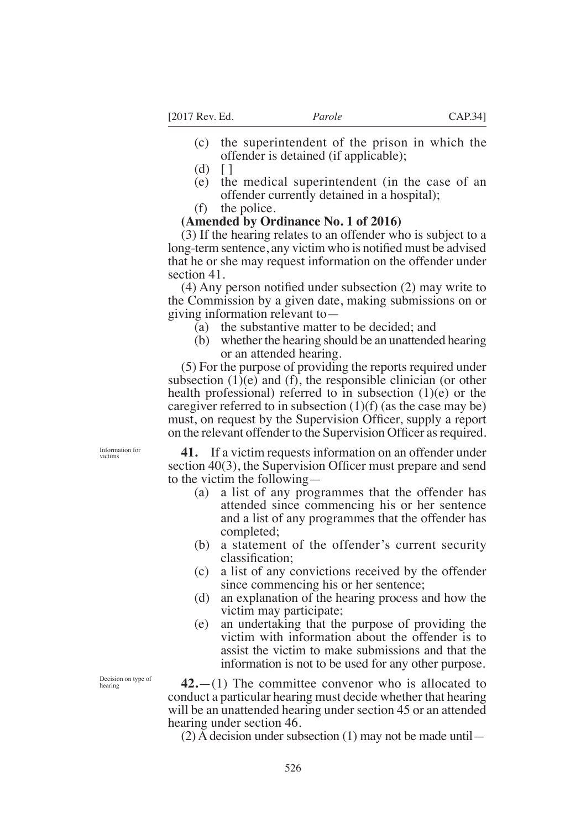- (c) the superintendent of the prison in which the offender is detained (if applicable);
- $(d)$   $\lceil$   $\rceil$
- (e) the medical superintendent (in the case of an offender currently detained in a hospital);
- (f) the police.

# **(Amended by Ordinance No. 1 of 2016)**

(3) If the hearing relates to an offender who is subject to a long-term sentence, any victim who is notified must be advised that he or she may request information on the offender under section 41.

 $(4)$  Any person notified under subsection  $(2)$  may write to the Commission by a given date, making submissions on or giving information relevant to—

- (a) the substantive matter to be decided; and
- (b) whether the hearing should be an unattended hearing or an attended hearing.

(5) For the purpose of providing the reports required under subsection  $(1)(e)$  and  $(f)$ , the responsible clinician (or other health professional) referred to in subsection (1)(e) or the caregiver referred to in subsection  $(1)(f)$  (as the case may be) must, on request by the Supervision Officer, supply a report on the relevant offender to the Supervision Officer as required.

Information for victims

**41.** If a victim requests information on an offender under section  $40(3)$ , the Supervision Officer must prepare and send to the victim the following—

- (a) a list of any programmes that the offender has attended since commencing his or her sentence and a list of any programmes that the offender has completed;
- (b) a statement of the offender's current security classification:
- (c) a list of any convictions received by the offender since commencing his or her sentence;
- (d) an explanation of the hearing process and how the victim may participate;
- (e) an undertaking that the purpose of providing the victim with information about the offender is to assist the victim to make submissions and that the information is not to be used for any other purpose.

**42.**—(1) The committee convenor who is allocated to conduct a particular hearing must decide whether that hearing will be an unattended hearing under section 45 or an attended hearing under section 46.

(2) A decision under subsection (1) may not be made until—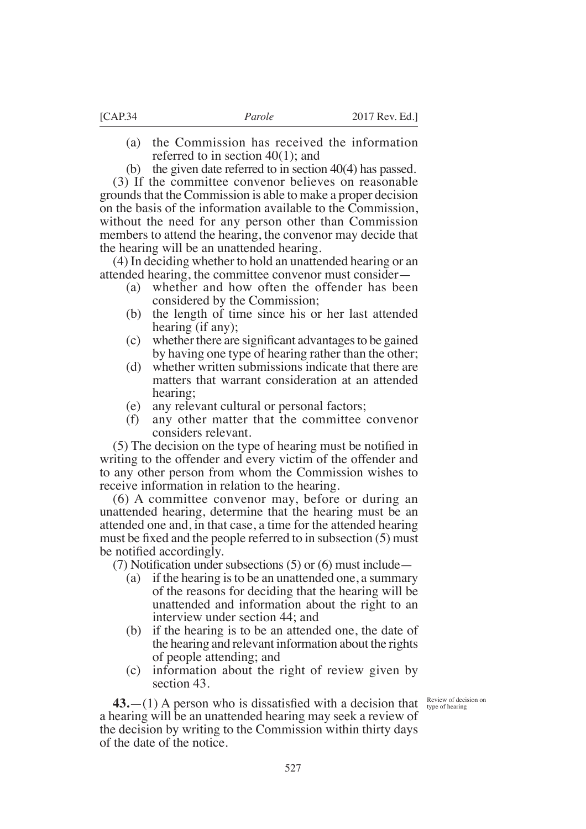- (a) the Commission has received the information referred to in section 40(1); and
- (b) the given date referred to in section 40(4) has passed.

(3) If the committee convenor believes on reasonable grounds that the Commission is able to make a proper decision on the basis of the information available to the Commission, without the need for any person other than Commission members to attend the hearing, the convenor may decide that the hearing will be an unattended hearing.

(4) In deciding whether to hold an unattended hearing or an attended hearing, the committee convenor must consider—

- (a) whether and how often the offender has been considered by the Commission;
- (b) the length of time since his or her last attended hearing (if any);
- $(c)$  whether there are significant advantages to be gained by having one type of hearing rather than the other;
- (d) whether written submissions indicate that there are matters that warrant consideration at an attended hearing;
- (e) any relevant cultural or personal factors;
- (f) any other matter that the committee convenor considers relevant.

 $(5)$  The decision on the type of hearing must be notified in writing to the offender and every victim of the offender and to any other person from whom the Commission wishes to receive information in relation to the hearing.

(6) A committee convenor may, before or during an unattended hearing, determine that the hearing must be an attended one and, in that case, a time for the attended hearing must be fixed and the people referred to in subsection (5) must be notified accordingly.

(7) Notification under subsections (5) or (6) must include  $-$ 

- (a) if the hearing is to be an unattended one, a summary of the reasons for deciding that the hearing will be unattended and information about the right to an interview under section 44; and
- (b) if the hearing is to be an attended one, the date of the hearing and relevant information about the rights of people attending; and
- (c) information about the right of review given by section 43.

**43.**  $-(1)$  A person who is dissatisfied with a decision that Review of decision on a hearing will be an unattended hearing may seek a review of the decision by writing to the Commission within thirty days of the date of the notice.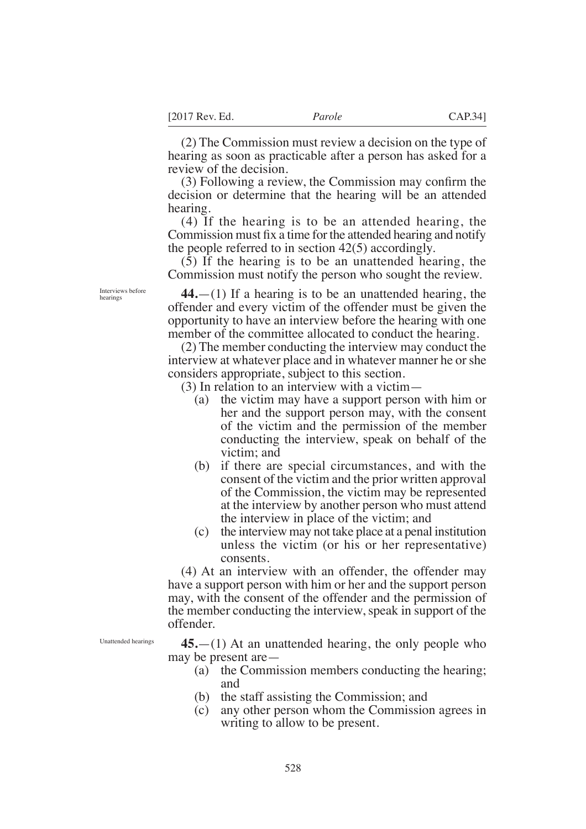(2) The Commission must review a decision on the type of hearing as soon as practicable after a person has asked for a review of the decision.

 $(3)$  Following a review, the Commission may confirm the decision or determine that the hearing will be an attended hearing.

(4) If the hearing is to be an attended hearing, the Commission must fix a time for the attended hearing and notify the people referred to in section 42(5) accordingly.

(5) If the hearing is to be an unattended hearing, the Commission must notify the person who sought the review.

**44.**—(1) If a hearing is to be an unattended hearing, the offender and every victim of the offender must be given the opportunity to have an interview before the hearing with one member of the committee allocated to conduct the hearing.

(2) The member conducting the interview may conduct the interview at whatever place and in whatever manner he or she considers appropriate, subject to this section.

(3) In relation to an interview with a victim—

- (a) the victim may have a support person with him or her and the support person may, with the consent of the victim and the permission of the member conducting the interview, speak on behalf of the victim; and
- (b) if there are special circumstances, and with the consent of the victim and the prior written approval of the Commission, the victim may be represented at the interview by another person who must attend the interview in place of the victim; and
- (c) the interview may not take place at a penal institution unless the victim (or his or her representative) consents.

(4) At an interview with an offender, the offender may have a support person with him or her and the support person may, with the consent of the offender and the permission of the member conducting the interview, speak in support of the offender.

Unattended hearings

**45.**—(1) At an unattended hearing, the only people who may be present are—

- (a) the Commission members conducting the hearing; and
- (b) the staff assisting the Commission; and
- (c) any other person whom the Commission agrees in writing to allow to be present.

Interviews before hearings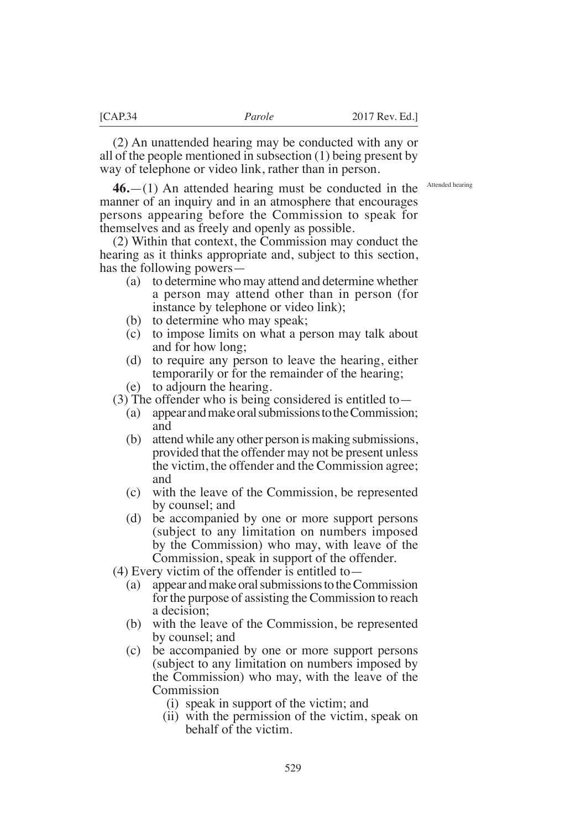(2) An unattended hearing may be conducted with any or all of the people mentioned in subsection (1) being present by way of telephone or video link, rather than in person.

Attended hearing

**46.**—(1) An attended hearing must be conducted in the manner of an inquiry and in an atmosphere that encourages persons appearing before the Commission to speak for themselves and as freely and openly as possible.

(2) Within that context, the Commission may conduct the hearing as it thinks appropriate and, subject to this section, has the following powers—

- (a) to determine who may attend and determine whether a person may attend other than in person (for instance by telephone or video link);
- (b) to determine who may speak;
- (c) to impose limits on what a person may talk about and for how long;
- (d) to require any person to leave the hearing, either temporarily or for the remainder of the hearing;
- (e) to adjourn the hearing.

(3) The offender who is being considered is entitled to  $-$ 

- (a) appear and make oral submissions to the Commission; and
- (b) attend while any other person is making submissions, provided that the offender may not be present unless the victim, the offender and the Commission agree; and
- (c) with the leave of the Commission, be represented by counsel; and
- (d) be accompanied by one or more support persons (subject to any limitation on numbers imposed by the Commission) who may, with leave of the Commission, speak in support of the offender.
- (4) Every victim of the offender is entitled to—
	- (a) appear and make oral submissions to the Commission for the purpose of assisting the Commission to reach a decision;
	- (b) with the leave of the Commission, be represented by counsel; and
	- (c) be accompanied by one or more support persons (subject to any limitation on numbers imposed by the Commission) who may, with the leave of the Commission
		- (i) speak in support of the victim; and
		- (ii) with the permission of the victim, speak on behalf of the victim.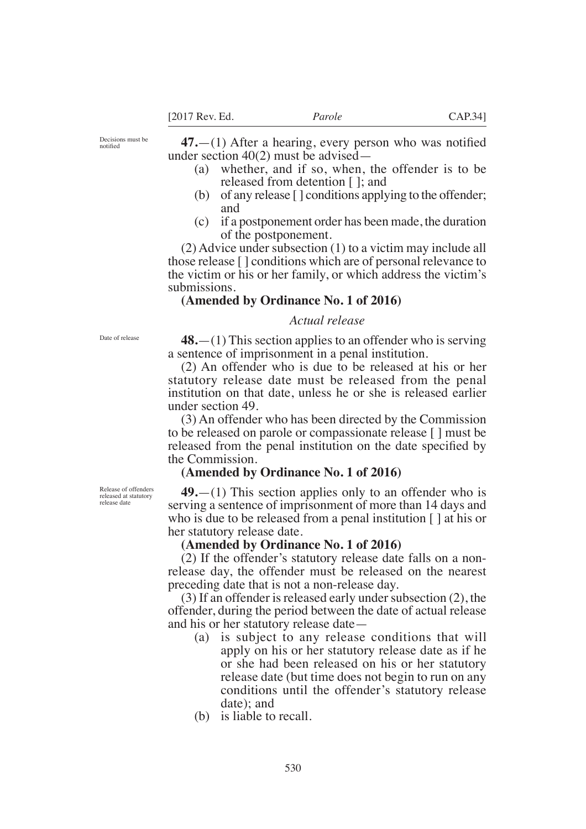Decisions must be notifed

 $47.$ —(1) After a hearing, every person who was notified under section 40(2) must be advised—

- (a) whether, and if so, when, the offender is to be released from detention [ ]; and
- (b) of any release [ ] conditions applying to the offender; and
- (c) if a postponement order has been made, the duration of the postponement.

(2) Advice under subsection (1) to a victim may include all those release [ ] conditions which are of personal relevance to the victim or his or her family, or which address the victim's submissions.

## **(Amended by Ordinance No. 1 of 2016)**

### *Actual release*

Date of release

**48.**—(1) This section applies to an offender who is serving a sentence of imprisonment in a penal institution.

(2) An offender who is due to be released at his or her statutory release date must be released from the penal institution on that date, unless he or she is released earlier under section 49.

(3) An offender who has been directed by the Commission to be released on parole or compassionate release [ ] must be released from the penal institution on the date specified by the Commission.

### **(Amended by Ordinance No. 1 of 2016)**

**49.**—(1) This section applies only to an offender who is serving a sentence of imprisonment of more than 14 days and who is due to be released from a penal institution [ ] at his or her statutory release date.

### **(Amended by Ordinance No. 1 of 2016)**

(2) If the offender's statutory release date falls on a nonrelease day, the offender must be released on the nearest preceding date that is not a non-release day.

(3) If an offender is released early under subsection (2), the offender, during the period between the date of actual release and his or her statutory release date—

- (a) is subject to any release conditions that will apply on his or her statutory release date as if he or she had been released on his or her statutory release date (but time does not begin to run on any conditions until the offender's statutory release date); and
- (b) is liable to recall.

Release of offenders released at statutory release date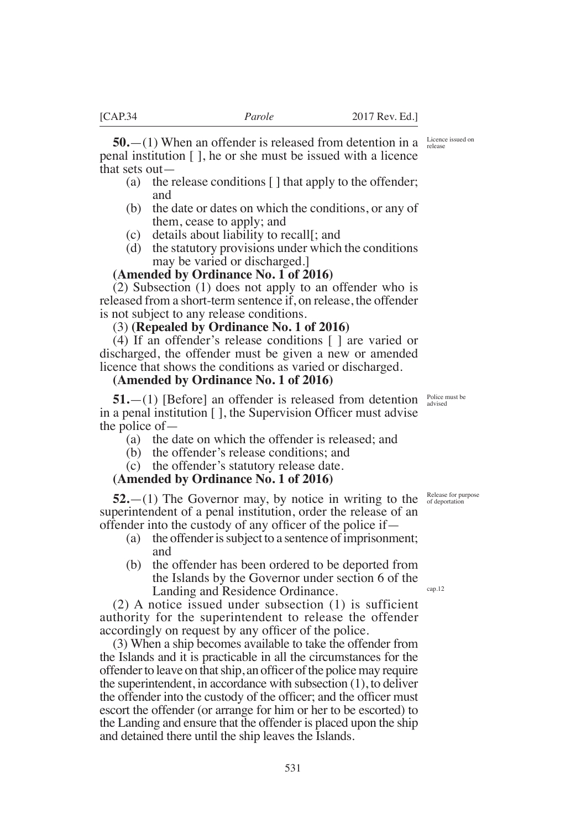**50.**—(1) When an offender is released from detention in a penal institution [ ], he or she must be issued with a licence that sets out—

- (a) the release conditions [ ] that apply to the offender; and
- (b) the date or dates on which the conditions, or any of them, cease to apply; and
- (c) details about liability to recall[; and
- (d) the statutory provisions under which the conditions may be varied or discharged.]

### **(Amended by Ordinance No. 1 of 2016)**

(2) Subsection (1) does not apply to an offender who is released from a short-term sentence if, on release, the offender is not subject to any release conditions.

### (3) **(Repealed by Ordinance No. 1 of 2016)**

(4) If an offender's release conditions [ ] are varied or discharged, the offender must be given a new or amended licence that shows the conditions as varied or discharged.

### **(Amended by Ordinance No. 1 of 2016)**

**51.**—(1) [Before] an offender is released from detention in a penal institution  $\lceil \cdot \rceil$ , the Supervision Officer must advise the police of—

- (a) the date on which the offender is released; and
- (b) the offender's release conditions; and
- (c) the offender's statutory release date.

# **(Amended by Ordinance No. 1 of 2016)**

 $52$ . $-$ (1) The Governor may, by notice in writing to the superintendent of a penal institution, order the release of an offender into the custody of any officer of the police if  $-$ 

- (a) the offender is subject to a sentence of imprisonment; and
- (b) the offender has been ordered to be deported from the Islands by the Governor under section 6 of the Landing and Residence Ordinance.

(2) A notice issued under subsection (1) is sufficient authority for the superintendent to release the offender accordingly on request by any officer of the police.

(3) When a ship becomes available to take the offender from the Islands and it is practicable in all the circumstances for the offender to leave on that ship, an officer of the police may require the superintendent, in accordance with subsection (1), to deliver the offender into the custody of the officer; and the officer must escort the offender (or arrange for him or her to be escorted) to the Landing and ensure that the offender is placed upon the ship and detained there until the ship leaves the Islands.

Police must be advised

Release for purpose of deportation

cap.12

Licence issued on release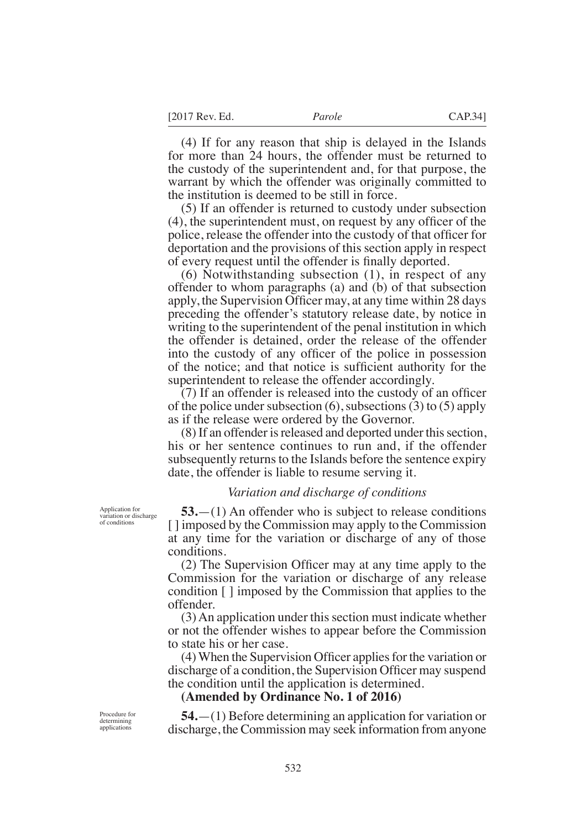(4) If for any reason that ship is delayed in the Islands for more than 24 hours, the offender must be returned to the custody of the superintendent and, for that purpose, the warrant by which the offender was originally committed to the institution is deemed to be still in force.

(5) If an offender is returned to custody under subsection  $(4)$ , the superintendent must, on request by any officer of the police, release the offender into the custody of that officer for deportation and the provisions of this section apply in respect of every request until the offender is finally deported.

(6) Notwithstanding subsection (1), in respect of any offender to whom paragraphs (a) and (b) of that subsection apply, the Supervision Officer may, at any time within  $28 \text{ days}$ preceding the offender's statutory release date, by notice in writing to the superintendent of the penal institution in which the offender is detained, order the release of the offender into the custody of any officer of the police in possession of the notice; and that notice is sufficient authority for the superintendent to release the offender accordingly.

 $(7)$  If an offender is released into the custody of an officer of the police under subsection  $(6)$ , subsections  $(3)$  to  $(5)$  apply as if the release were ordered by the Governor.

(8) If an offender is released and deported under this section, his or her sentence continues to run and, if the offender subsequently returns to the Islands before the sentence expiry date, the offender is liable to resume serving it.

#### *Variation and discharge of conditions*

**53.**—(1) An offender who is subject to release conditions [ ] imposed by the Commission may apply to the Commission at any time for the variation or discharge of any of those conditions.

 $(2)$  The Supervision Officer may at any time apply to the Commission for the variation or discharge of any release condition [ ] imposed by the Commission that applies to the offender.

(3) An application under this section must indicate whether or not the offender wishes to appear before the Commission to state his or her case.

 $(4)$  When the Supervision Officer applies for the variation or discharge of a condition, the Supervision Officer may suspend the condition until the application is determined.

# **(Amended by Ordinance No. 1 of 2016)**

**54.**—(1) Before determining an application for variation or discharge, the Commission may seek information from anyone

Application for variation or discharge of conditions

Procedure for determining applications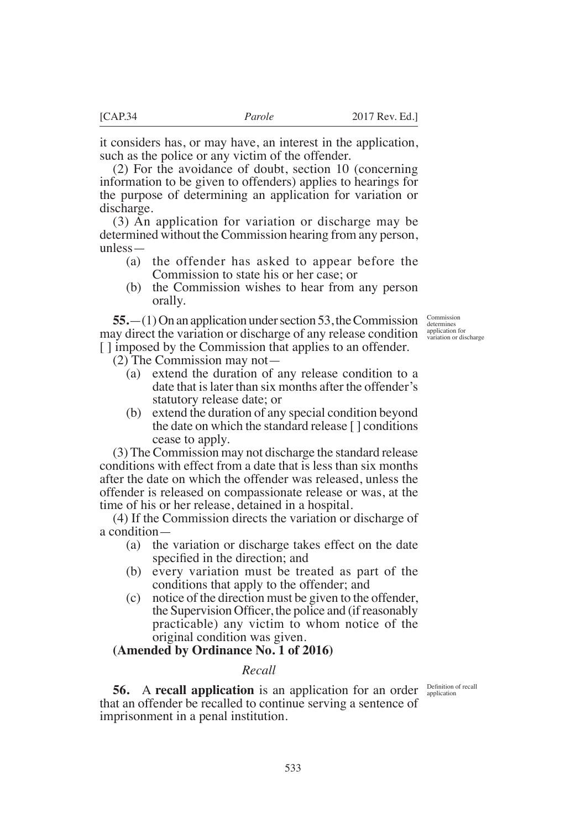it considers has, or may have, an interest in the application, such as the police or any victim of the offender.

(2) For the avoidance of doubt, section 10 (concerning information to be given to offenders) applies to hearings for the purpose of determining an application for variation or discharge.

(3) An application for variation or discharge may be determined without the Commission hearing from any person, unless—

- (a) the offender has asked to appear before the Commission to state his or her case; or
- (b) the Commission wishes to hear from any person orally.

**55.** (1) On an application under section 53, the Commission Commission may direct the variation or discharge of any release condition supplication for discharge [ ] imposed by the Commission that applies to an offender.

(2) The Commission may not—

- (a) extend the duration of any release condition to a date that is later than six months after the offender's statutory release date; or
- (b) extend the duration of any special condition beyond the date on which the standard release [ ] conditions cease to apply.

(3) The Commission may not discharge the standard release conditions with effect from a date that is less than six months after the date on which the offender was released, unless the offender is released on compassionate release or was, at the time of his or her release, detained in a hospital.

(4) If the Commission directs the variation or discharge of a condition—

- (a) the variation or discharge takes effect on the date specified in the direction; and
- (b) every variation must be treated as part of the conditions that apply to the offender; and
- (c) notice of the direction must be given to the offender, the Supervision Officer, the police and (if reasonably practicable) any victim to whom notice of the original condition was given.

# **(Amended by Ordinance No. 1 of 2016)**

### *Recall*

**56.** A **recall application** is an application for an order that an offender be recalled to continue serving a sentence of imprisonment in a penal institution.

Definition of recall application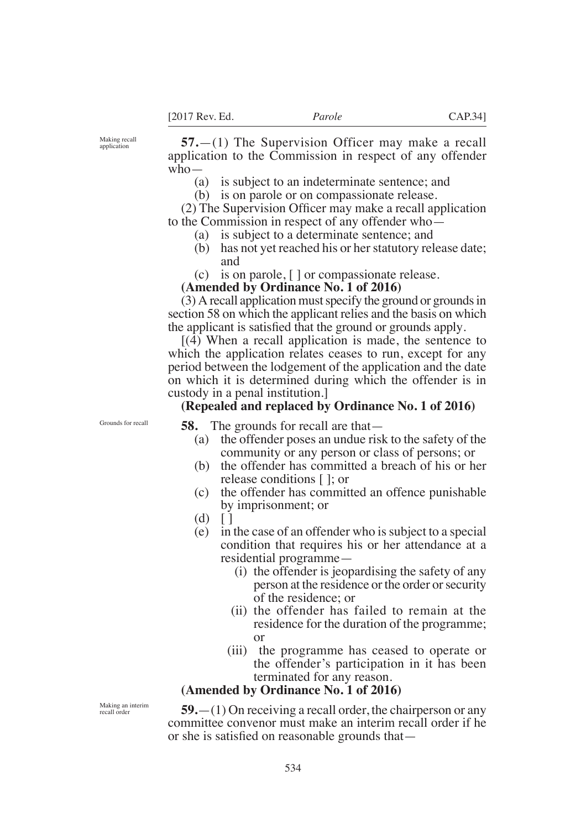Making recall application

**57.**—(1) The Supervision Officer may make a recall application to the Commission in respect of any offender  $who$ —

- (a) is subject to an indeterminate sentence; and
- (b) is on parole or on compassionate release.

 $(2)$  The Supervision Officer may make a recall application to the Commission in respect of any offender who—

- (a) is subject to a determinate sentence; and
- (b) has not yet reached his or her statutory release date; and
- (c) is on parole, [ ] or compassionate release.

**(Amended by Ordinance No. 1 of 2016)**

(3) A recall application must specify the ground or grounds in section 58 on which the applicant relies and the basis on which the applicant is satisfied that the ground or grounds apply.

[(4) When a recall application is made, the sentence to which the application relates ceases to run, except for any period between the lodgement of the application and the date on which it is determined during which the offender is in custody in a penal institution.]

### **(Repealed and replaced by Ordinance No. 1 of 2016)**

Grounds for recall

**58.** The grounds for recall are that—

- (a) the offender poses an undue risk to the safety of the community or any person or class of persons; or
- (b) the offender has committed a breach of his or her release conditions [ ]; or
- (c) the offender has committed an offence punishable by imprisonment; or
- $(d)$  []
- (e) in the case of an offender who is subject to a special condition that requires his or her attendance at a residential programme—
	- (i) the offender is jeopardising the safety of any person at the residence or the order or security of the residence; or
	- (ii) the offender has failed to remain at the residence for the duration of the programme; or
	- (iii) the programme has ceased to operate or the offender's participation in it has been terminated for any reason.

# **(Amended by Ordinance No. 1 of 2016)**

**59.**—(1) On receiving a recall order, the chairperson or any committee convenor must make an interim recall order if he or she is satisfied on reasonable grounds that—

Making an interim recall order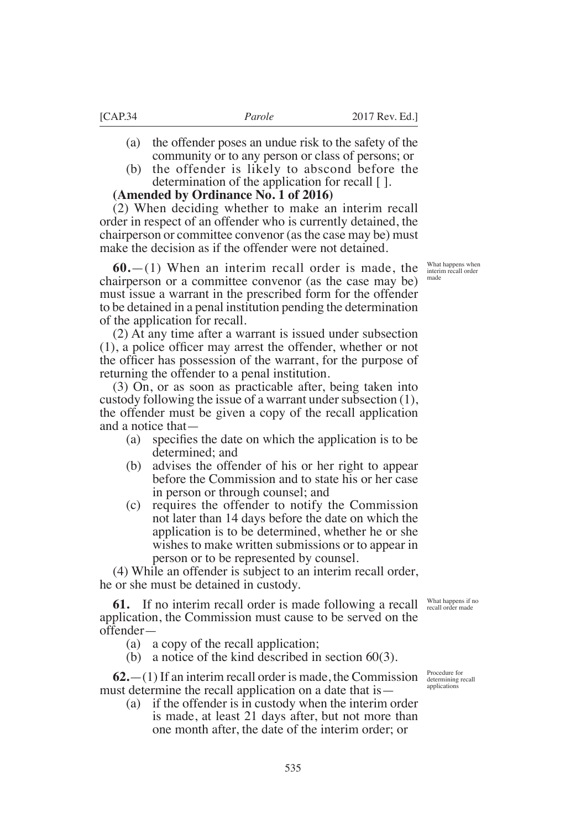- (a) the offender poses an undue risk to the safety of the community or to any person or class of persons; or
- (b) the offender is likely to abscond before the determination of the application for recall [ ].

# **(Amended by Ordinance No. 1 of 2016)**

(2) When deciding whether to make an interim recall order in respect of an offender who is currently detained, the chairperson or committee convenor (as the case may be) must make the decision as if the offender were not detained.

**60.**—(1) When an interim recall order is made, the chairperson or a committee convenor (as the case may be) must issue a warrant in the prescribed form for the offender to be detained in a penal institution pending the determination of the application for recall.

(2) At any time after a warrant is issued under subsection  $(1)$ , a police officer may arrest the offender, whether or not the officer has possession of the warrant, for the purpose of returning the offender to a penal institution.

(3) On, or as soon as practicable after, being taken into custody following the issue of a warrant under subsection (1), the offender must be given a copy of the recall application and a notice that—

- (a) specifies the date on which the application is to be determined; and
- (b) advises the offender of his or her right to appear before the Commission and to state his or her case in person or through counsel; and
- (c) requires the offender to notify the Commission not later than 14 days before the date on which the application is to be determined, whether he or she wishes to make written submissions or to appear in person or to be represented by counsel.

(4) While an offender is subject to an interim recall order, he or she must be detained in custody.

**61.** If no interim recall order is made following a recall application, the Commission must cause to be served on the offender—

- (a) a copy of the recall application;
- (b) a notice of the kind described in section  $60(3)$ .

**62.**—(1) If an interim recall order is made, the Commission must determine the recall application on a date that is—

(a) if the offender is in custody when the interim order is made, at least 21 days after, but not more than one month after, the date of the interim order; or

Procedure for determining recall applications

What happens if no recall order made

What happens when interim recall order made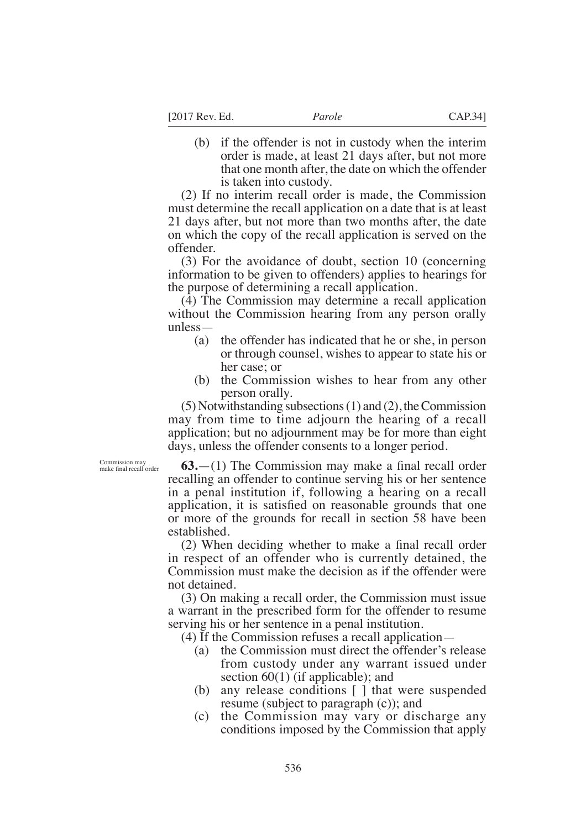(b) if the offender is not in custody when the interim order is made, at least 21 days after, but not more that one month after, the date on which the offender is taken into custody.

(2) If no interim recall order is made, the Commission must determine the recall application on a date that is at least 21 days after, but not more than two months after, the date on which the copy of the recall application is served on the offender.

(3) For the avoidance of doubt, section 10 (concerning information to be given to offenders) applies to hearings for the purpose of determining a recall application.

(4) The Commission may determine a recall application without the Commission hearing from any person orally unless—

- (a) the offender has indicated that he or she, in person or through counsel, wishes to appear to state his or her case; or
- (b) the Commission wishes to hear from any other person orally.

(5) Notwithstanding subsections (1) and (2), the Commission may from time to time adjourn the hearing of a recall application; but no adjournment may be for more than eight days, unless the offender consents to a longer period.

Commission may PaNe fnal recall order

 $63$ — $(1)$  The Commission may make a final recall order recalling an offender to continue serving his or her sentence in a penal institution if, following a hearing on a recall application, it is satisfied on reasonable grounds that one or more of the grounds for recall in section 58 have been established.

 $(2)$  When deciding whether to make a final recall order in respect of an offender who is currently detained, the Commission must make the decision as if the offender were not detained.

(3) On making a recall order, the Commission must issue a warrant in the prescribed form for the offender to resume serving his or her sentence in a penal institution.

(4) If the Commission refuses a recall application—

- (a) the Commission must direct the offender's release from custody under any warrant issued under section 60(1) (if applicable); and
- (b) any release conditions [ ] that were suspended resume (subject to paragraph (c)); and
- (c) the Commission may vary or discharge any conditions imposed by the Commission that apply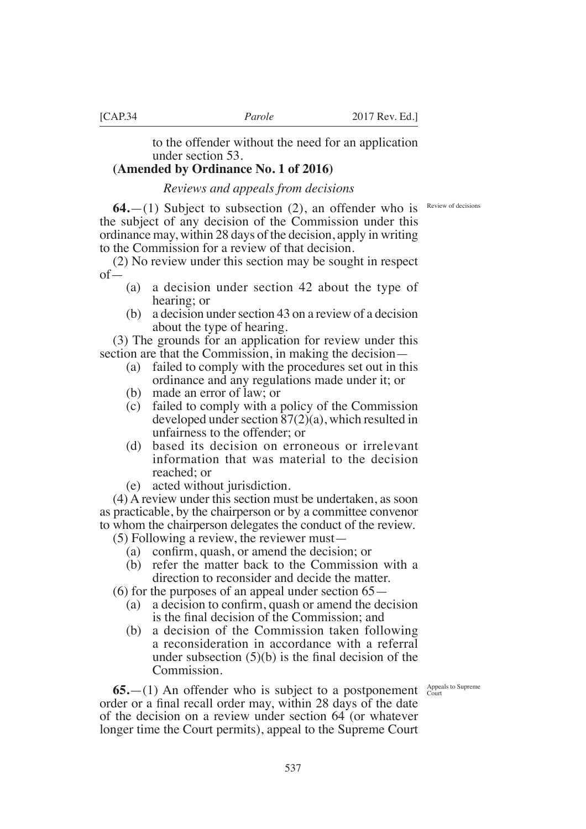to the offender without the need for an application under section 53.

# **(Amended by Ordinance No. 1 of 2016)**

# *Reviews and appeals from decisions*

**64.** (1) Subject to subsection (2), an offender who is Review of decisions the subject of any decision of the Commission under this ordinance may, within 28 days of the decision, apply in writing to the Commission for a review of that decision.

(2) No review under this section may be sought in respect of—

- (a) a decision under section 42 about the type of hearing; or
- (b) a decision under section 43 on a review of a decision about the type of hearing.

(3) The grounds for an application for review under this section are that the Commission, in making the decision—

- (a) failed to comply with the procedures set out in this ordinance and any regulations made under it; or
- (b) made an error of law; or
- (c) failed to comply with a policy of the Commission developed under section 87(2)(a), which resulted in unfairness to the offender; or
- (d) based its decision on erroneous or irrelevant information that was material to the decision reached; or
- (e) acted without jurisdiction.

(4) A review under this section must be undertaken, as soon as practicable, by the chairperson or by a committee convenor to whom the chairperson delegates the conduct of the review.

(5) Following a review, the reviewer must—

- (a) confirm, quash, or amend the decision; or
- (b) refer the matter back to the Commission with a direction to reconsider and decide the matter.
- (6) for the purposes of an appeal under section 65—
	- (a) a decision to confirm, quash or amend the decision is the final decision of the Commission; and
	- (b) a decision of the Commission taken following a reconsideration in accordance with a referral under subsection  $(5)(b)$  is the final decision of the Commission.

 $65$ .  $- (1)$  An offender who is subject to a postponement  $\frac{\text{Appendis to Supreme}}{\text{Count}}$ order or a final recall order may, within 28 days of the date of the decision on a review under section 64 (or whatever longer time the Court permits), appeal to the Supreme Court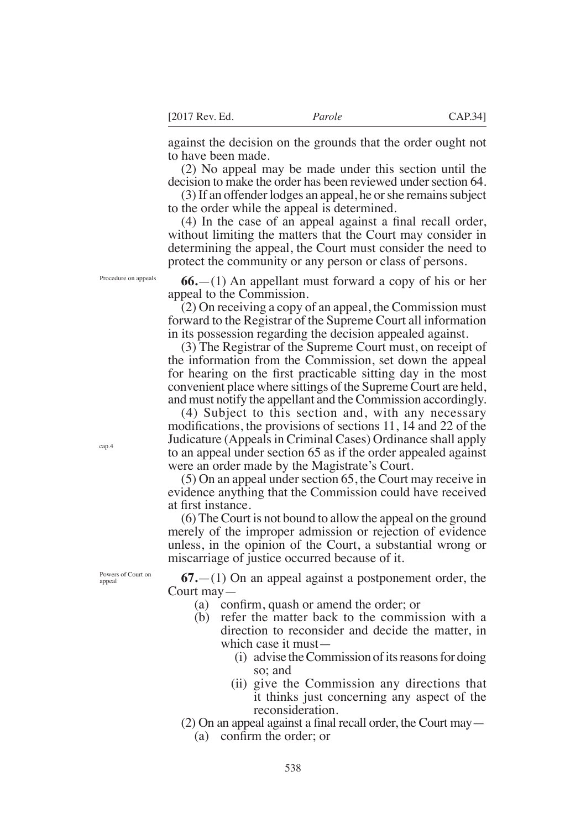against the decision on the grounds that the order ought not to have been made.

(2) No appeal may be made under this section until the decision to make the order has been reviewed under section 64.

(3) If an offender lodges an appeal, he or she remains subject to the order while the appeal is determined.

 $(4)$  In the case of an appeal against a final recall order, without limiting the matters that the Court may consider in determining the appeal, the Court must consider the need to protect the community or any person or class of persons.

**66.**—(1) An appellant must forward a copy of his or her appeal to the Commission.

(2) On receiving a copy of an appeal, the Commission must forward to the Registrar of the Supreme Court all information in its possession regarding the decision appealed against.

(3) The Registrar of the Supreme Court must, on receipt of the information from the Commission, set down the appeal for hearing on the first practicable sitting day in the most convenient place where sittings of the Supreme Court are held, and must notify the appellant and the Commission accordingly.

(4) Subject to this section and, with any necessary modifications, the provisions of sections  $11$ ,  $14$  and  $22$  of the Judicature (Appeals in Criminal Cases) Ordinance shall apply to an appeal under section 65 as if the order appealed against were an order made by the Magistrate's Court.

(5) On an appeal under section 65, the Court may receive in evidence anything that the Commission could have received at frst instance.

(6) The Court is not bound to allow the appeal on the ground merely of the improper admission or rejection of evidence unless, in the opinion of the Court, a substantial wrong or miscarriage of justice occurred because of it.

**67.**—(1) On an appeal against a postponement order, the Court may—

- (a) confirm, quash or amend the order; or
- (b) refer the matter back to the commission with a direction to reconsider and decide the matter, in which case it must—
	- (i) advise the Commission of its reasons for doing so; and
	- (ii) give the Commission any directions that it thinks just concerning any aspect of the reconsideration.
- $(2)$  On an appeal against a final recall order, the Court may  $-$

(a) confirm the order; or

Procedure on appeals

cap.4

Powers of Court on appeal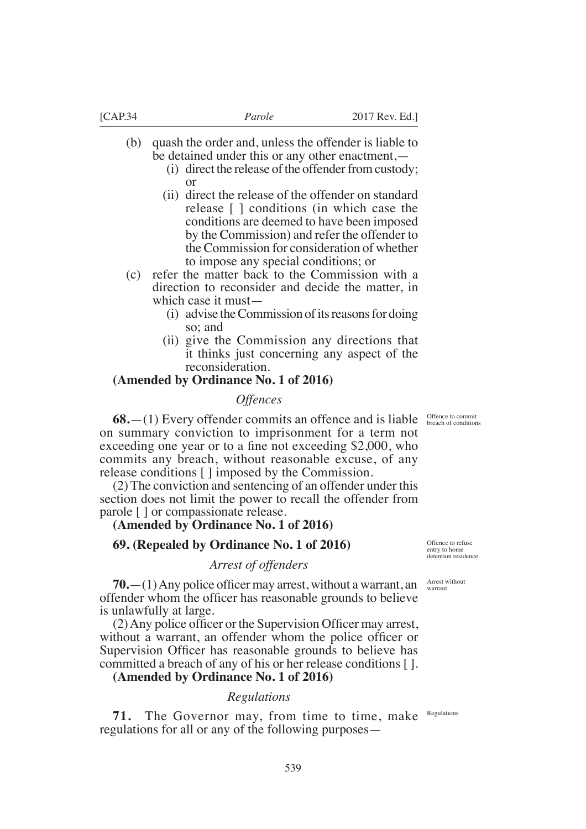- (b) quash the order and, unless the offender is liable to be detained under this or any other enactment,—
	- (i) direct the release of the offender from custody; or
	- (ii) direct the release of the offender on standard release [ ] conditions (in which case the conditions are deemed to have been imposed by the Commission) and refer the offender to the Commission for consideration of whether to impose any special conditions; or

(c) refer the matter back to the Commission with a direction to reconsider and decide the matter, in which case it must—

- (i) advise the Commission of its reasons for doing so; and
- (ii) give the Commission any directions that it thinks just concerning any aspect of the reconsideration.

# **(Amended by Ordinance No. 1 of 2016)**

### *Offences*

 $68$ .  $- (1)$  Every offender commits an offence and is liable  $\frac{\text{Office the Commit}}{\text{break of conditions}}$ on summary conviction to imprisonment for a term not exceeding one year or to a fine not exceeding  $$2,000$ , who commits any breach, without reasonable excuse, of any release conditions [ ] imposed by the Commission.

(2) The conviction and sentencing of an offender under this section does not limit the power to recall the offender from parole [ ] or compassionate release.

# **(Amended by Ordinance No. 1 of 2016)**

# **69. (Repealed by Ordinance No. 1 of 2016)**

# *Arrest of offenders*

 $70.$ — $(1)$  Any police officer may arrest, without a warrant, an offender whom the officer has reasonable grounds to believe is unlawfully at large.

 $(2)$  Any police officer or the Supervision Officer may arrest, without a warrant, an offender whom the police officer or Supervision Officer has reasonable grounds to believe has committed a breach of any of his or her release conditions [ ].

# **(Amended by Ordinance No. 1 of 2016)**

# *Regulations*

71. The Governor may, from time to time, make regulations for all or any of the following purposes— Regulations

Offence to refuse entry to home detention residence

Arrest without warrant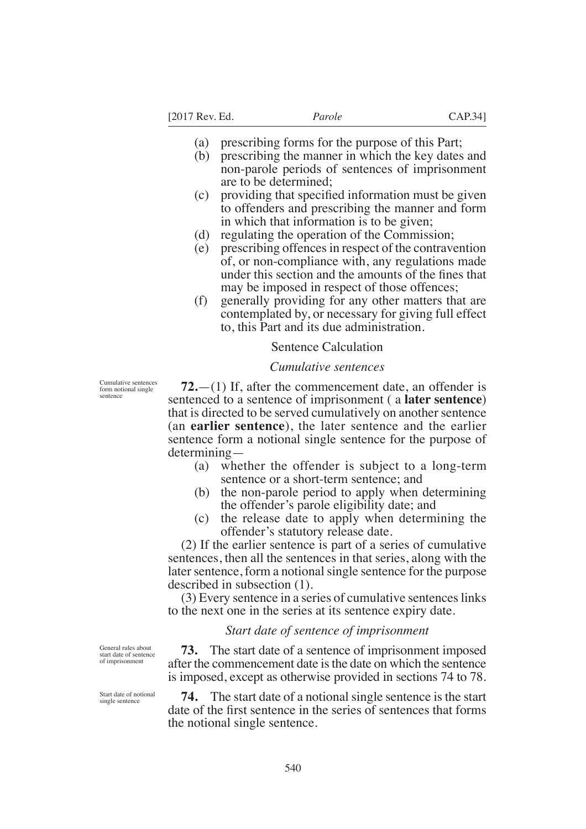- (a) prescribing forms for the purpose of this Part;
- (b) prescribing the manner in which the key dates and non-parole periods of sentences of imprisonment are to be determined;
- $(c)$  providing that specified information must be given to offenders and prescribing the manner and form in which that information is to be given;
- (d) regulating the operation of the Commission;
- (e) prescribing offences in respect of the contravention of, or non-compliance with, any regulations made under this section and the amounts of the fines that may be imposed in respect of those offences;
- (f) generally providing for any other matters that are contemplated by, or necessary for giving full effect to, this Part and its due administration.

### Sentence Calculation

### *Cumulative sentences*

Cumulative sentences form notional single sentence

**72.**—(1) If, after the commencement date, an offender is sentenced to a sentence of imprisonment ( a **later sentence**) that is directed to be served cumulatively on another sentence (an **earlier sentence**), the later sentence and the earlier sentence form a notional single sentence for the purpose of determining—

- (a) whether the offender is subject to a long-term sentence or a short-term sentence; and
- (b) the non-parole period to apply when determining the offender's parole eligibility date; and
- (c) the release date to apply when determining the offender's statutory release date.

(2) If the earlier sentence is part of a series of cumulative sentences, then all the sentences in that series, along with the later sentence, form a notional single sentence for the purpose described in subsection (1).

(3) Every sentence in a series of cumulative sentences links to the next one in the series at its sentence expiry date.

### *Start date of sentence of imprisonment*

**73.** The start date of a sentence of imprisonment imposed after the commencement date is the date on which the sentence is imposed, except as otherwise provided in sections 74 to 78.

**74.** The start date of a notional single sentence is the start date of the first sentence in the series of sentences that forms the notional single sentence.

General rules about start date of sentence of imprisonment

Start date of notional single sentence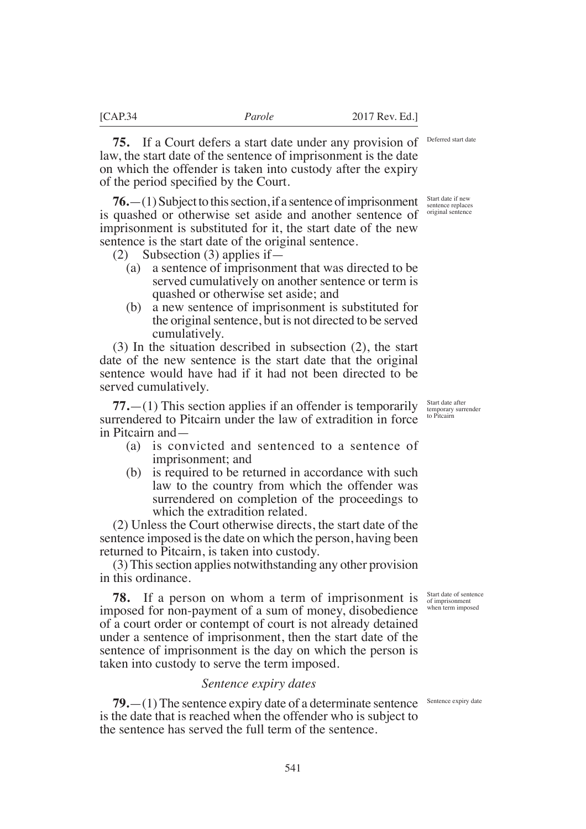Deferred start date

Start date if new sentence replaces original sentence

**75.** If a Court defers a start date under any provision of law, the start date of the sentence of imprisonment is the date on which the offender is taken into custody after the expiry of the period specified by the Court.

**76.**—(1) Subject to this section, if a sentence of imprisonment is quashed or otherwise set aside and another sentence of imprisonment is substituted for it, the start date of the new sentence is the start date of the original sentence.

- (2) Subsection (3) applies if—
	- (a) a sentence of imprisonment that was directed to be served cumulatively on another sentence or term is quashed or otherwise set aside; and
	- (b) a new sentence of imprisonment is substituted for the original sentence, but is not directed to be served cumulatively.

(3) In the situation described in subsection (2), the start date of the new sentence is the start date that the original sentence would have had if it had not been directed to be served cumulatively.

**77.**—(1) This section applies if an offender is temporarily surrendered to Pitcairn under the law of extradition in force in Pitcairn and—

- (a) is convicted and sentenced to a sentence of imprisonment; and
- (b) is required to be returned in accordance with such law to the country from which the offender was surrendered on completion of the proceedings to which the extradition related.

(2) Unless the Court otherwise directs, the start date of the sentence imposed is the date on which the person, having been returned to Pitcairn, is taken into custody.

(3) This section applies notwithstanding any other provision in this ordinance.

**78.** If a person on whom a term of imprisonment is imposed for non-payment of a sum of money, disobedience of a court order or contempt of court is not already detained under a sentence of imprisonment, then the start date of the sentence of imprisonment is the day on which the person is taken into custody to serve the term imposed.

### *Sentence expiry dates*

**79.** - (1) The sentence expiry date of a determinate sentence Sentence expiry date is the date that is reached when the offender who is subject to the sentence has served the full term of the sentence.

Start date after temporary surrender to Pitcairn

Start date of sentence of imprisonment when term imposed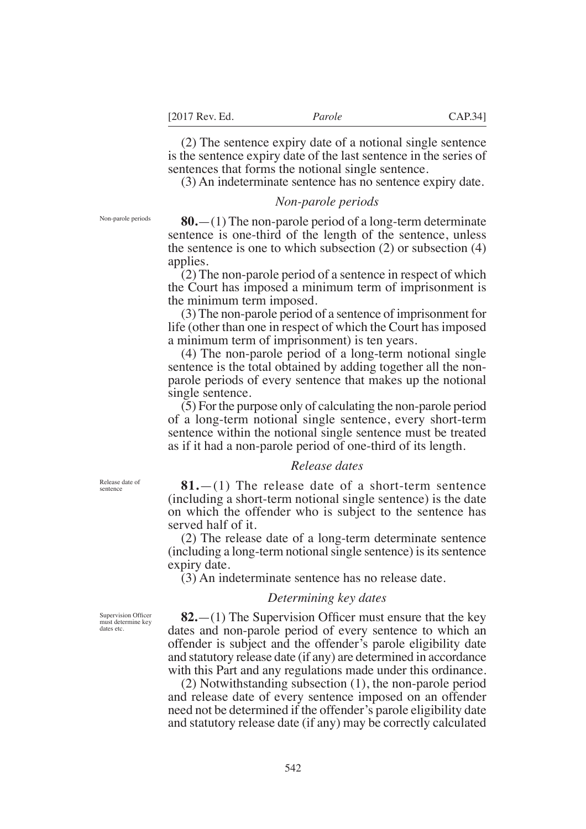(2) The sentence expiry date of a notional single sentence is the sentence expiry date of the last sentence in the series of sentences that forms the notional single sentence.

(3) An indeterminate sentence has no sentence expiry date.

### *Non-parole periods*

**80.**—(1) The non-parole period of a long-term determinate sentence is one-third of the length of the sentence, unless the sentence is one to which subsection (2) or subsection (4) applies.

(2) The non-parole period of a sentence in respect of which the Court has imposed a minimum term of imprisonment is the minimum term imposed.

(3) The non-parole period of a sentence of imprisonment for life (other than one in respect of which the Court has imposed a minimum term of imprisonment) is ten years.

(4) The non-parole period of a long-term notional single sentence is the total obtained by adding together all the nonparole periods of every sentence that makes up the notional single sentence.

(5) For the purpose only of calculating the non-parole period of a long-term notional single sentence, every short-term sentence within the notional single sentence must be treated as if it had a non-parole period of one-third of its length.

#### *Release dates*

**81.**—(1) The release date of a short-term sentence (including a short-term notional single sentence) is the date on which the offender who is subject to the sentence has served half of it.

(2) The release date of a long-term determinate sentence (including a long-term notional single sentence) is its sentence expiry date.

(3) An indeterminate sentence has no release date.

## *Determining key dates*

Supervision Offcer must determine key dates etc.

Release date of sentence

> **82.**—(1) The Supervision Officer must ensure that the key dates and non-parole period of every sentence to which an offender is subject and the offender's parole eligibility date and statutory release date (if any) are determined in accordance with this Part and any regulations made under this ordinance.

> (2) Notwithstanding subsection (1), the non-parole period and release date of every sentence imposed on an offender need not be determined if the offender's parole eligibility date and statutory release date (if any) may be correctly calculated

Non-parole periods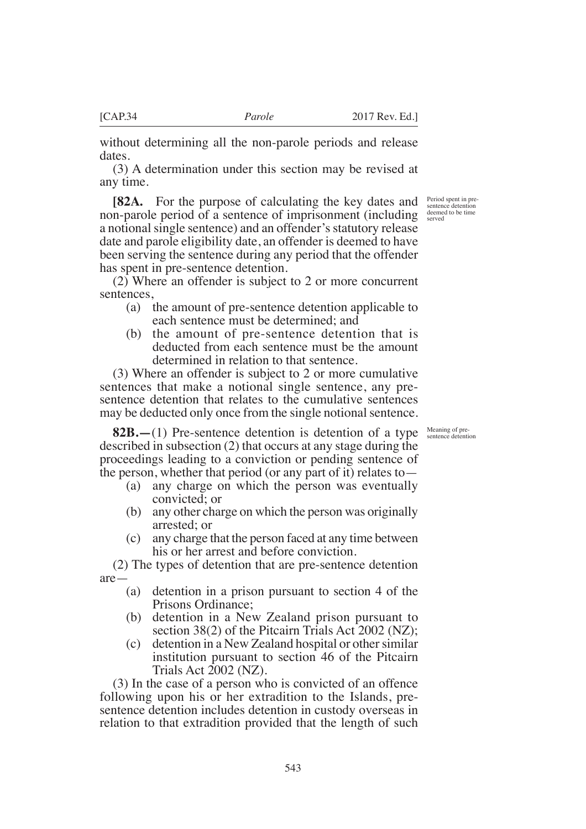without determining all the non-parole periods and release dates.

(3) A determination under this section may be revised at any time.

**[82A.** For the purpose of calculating the key dates and non-parole period of a sentence of imprisonment (including a notional single sentence) and an offender's statutory release date and parole eligibility date, an offender is deemed to have been serving the sentence during any period that the offender has spent in pre-sentence detention.

(2) Where an offender is subject to 2 or more concurrent sentences,

- (a) the amount of pre-sentence detention applicable to each sentence must be determined; and
- (b) the amount of pre-sentence detention that is deducted from each sentence must be the amount determined in relation to that sentence.

(3) Where an offender is subject to 2 or more cumulative sentences that make a notional single sentence, any presentence detention that relates to the cumulative sentences may be deducted only once from the single notional sentence.

**82B.—**(1) Pre-sentence detention is detention of a type described in subsection (2) that occurs at any stage during the proceedings leading to a conviction or pending sentence of the person, whether that period (or any part of it) relates to—

- (a) any charge on which the person was eventually convicted; or
- (b) any other charge on which the person was originally arrested; or
- (c) any charge that the person faced at any time between his or her arrest and before conviction.

(2) The types of detention that are pre-sentence detention are—

- (a) detention in a prison pursuant to section 4 of the Prisons Ordinance;
- (b) detention in a New Zealand prison pursuant to section 38(2) of the Pitcairn Trials Act 2002 (NZ);
- (c) detention in a New Zealand hospital or other similar institution pursuant to section 46 of the Pitcairn Trials Act 2002 (NZ).

(3) In the case of a person who is convicted of an offence following upon his or her extradition to the Islands, presentence detention includes detention in custody overseas in relation to that extradition provided that the length of such

Period spent in presentence detention deemed to be time served

Meaning of pre-sentence detention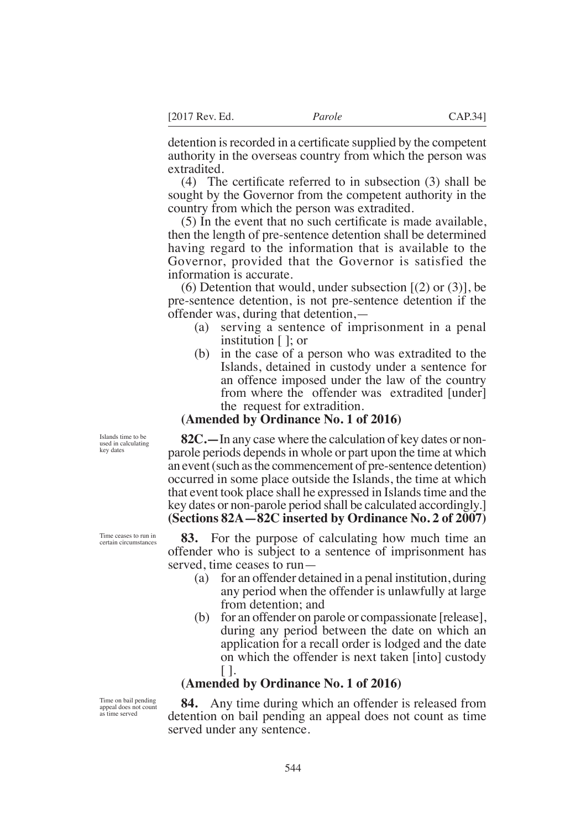detention is recorded in a certificate supplied by the competent authority in the overseas country from which the person was extradited.

(4) The certificate referred to in subsection  $(3)$  shall be sought by the Governor from the competent authority in the country from which the person was extradited.

 $(5)$  In the event that no such certificate is made available, then the length of pre-sentence detention shall be determined having regard to the information that is available to the Governor, provided that the Governor is satisfied the information is accurate.

(6) Detention that would, under subsection  $[(2)$  or  $(3)]$ , be pre-sentence detention, is not pre-sentence detention if the offender was, during that detention,—

- (a) serving a sentence of imprisonment in a penal institution [ ]; or
- (b) in the case of a person who was extradited to the Islands, detained in custody under a sentence for an offence imposed under the law of the country from where the offender was extradited [under] the request for extradition.

# **(Amended by Ordinance No. 1 of 2016)**

**82C.—**In any case where the calculation of key dates or nonparole periods depends in whole or part upon the time at which an event (such as the commencement of pre-sentence detention) occurred in some place outside the Islands, the time at which that event took place shall he expressed in Islands time and the key dates or non-parole period shall be calculated accordingly.] **(Sections 82A—82C inserted by Ordinance No. 2 of 2007)**

**83.** For the purpose of calculating how much time an offender who is subject to a sentence of imprisonment has served, time ceases to run—

- (a) for an offender detained in a penal institution, during any period when the offender is unlawfully at large from detention; and
- (b) for an offender on parole or compassionate [release], during any period between the date on which an application for a recall order is lodged and the date on which the offender is next taken [into] custody  $\vert \ \vert$ .

# **(Amended by Ordinance No. 1 of 2016)**

**84.** Any time during which an offender is released from detention on bail pending an appeal does not count as time served under any sentence.

Islands time to be used in calculating key dates

Time ceases to run in certain circumstances

Time on bail pending appeal does not count as time served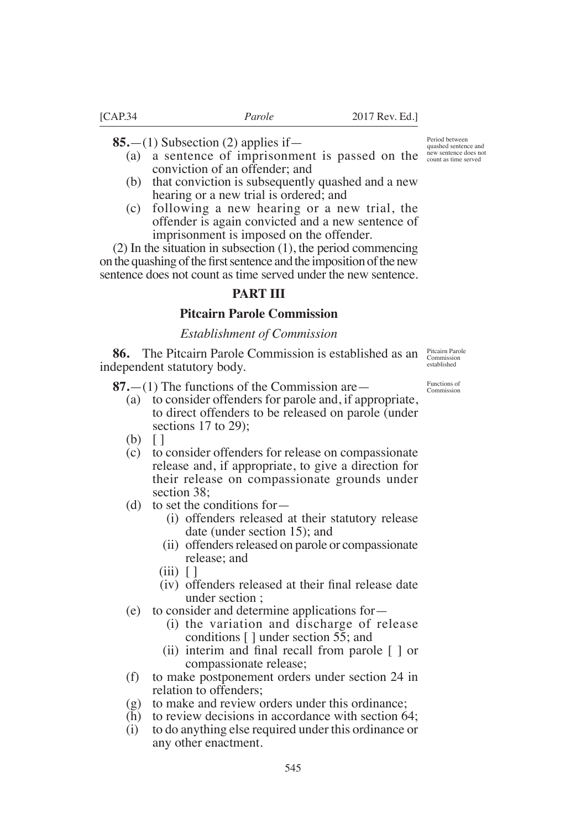**85.**—(1) Subsection (2) applies if—

- (a) a sentence of imprisonment is passed on the new sentence does not conviction of an offender; and
- (b) that conviction is subsequently quashed and a new hearing or a new trial is ordered; and
- (c) following a new hearing or a new trial, the offender is again convicted and a new sentence of imprisonment is imposed on the offender.

(2) In the situation in subsection (1), the period commencing on the quashing of the first sentence and the imposition of the new sentence does not count as time served under the new sentence.

# **PART III**

# **Pitcairn Parole Commission**

### *Establishment of Commission*

**86.** The Pitcairn Parole Commission is established as an independent statutory body.

**87.**—(1) The functions of the Commission are—

- (a) to consider offenders for parole and, if appropriate, to direct offenders to be released on parole (under sections 17 to 29):
- (b) [ ]
- (c) to consider offenders for release on compassionate release and, if appropriate, to give a direction for their release on compassionate grounds under section  $38$
- (d) to set the conditions for—
	- (i) offenders released at their statutory release date (under section 15); and
	- (ii) offenders released on parole or compassionate release; and
	- $(iii)$   $\lceil$
	- (iv) offenders released at their final release date under section ;
- (e) to consider and determine applications for—
	- (i) the variation and discharge of release conditions [ ] under section 55; and
	- (ii) interim and final recall from parole  $\lceil \cdot \rceil$  or compassionate release;
- (f) to make postponement orders under section 24 in relation to offenders;
- (g) to make and review orders under this ordinance;
- (h) to review decisions in accordance with section 64;
- (i) to do anything else required under this ordinance or any other enactment.

quashed sentence and

Period between

Pitcairn Parole Commission established

Functions of Commission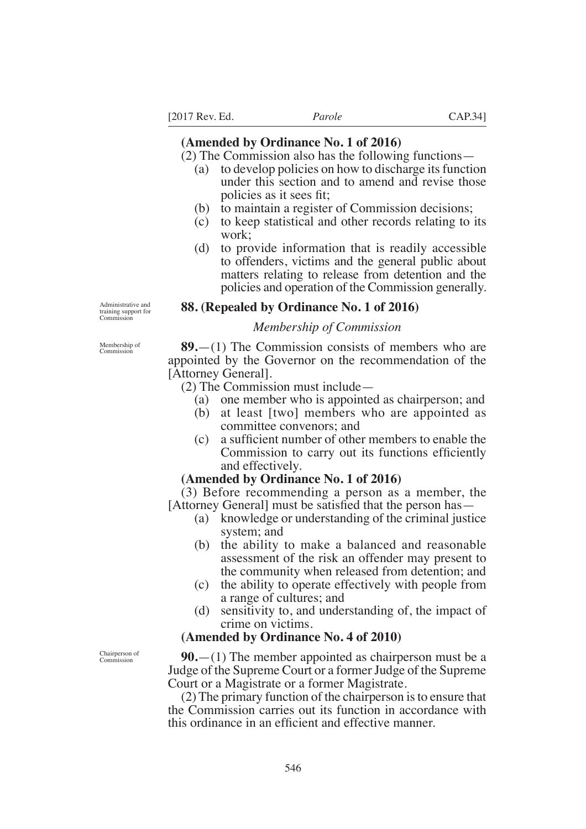[2017 Rev. Ed. *Parole* CAP.34]

# **(Amended by Ordinance No. 1 of 2016)**

(2) The Commission also has the following functions—

- (a) to develop policies on how to discharge its function under this section and to amend and revise those policies as it sees ft
- (b) to maintain a register of Commission decisions;
- (c) to keep statistical and other records relating to its work;
- (d) to provide information that is readily accessible to offenders, victims and the general public about matters relating to release from detention and the policies and operation of the Commission generally.

Administrative and training support for **Commission** 

# **88. (Repealed by Ordinance No. 1 of 2016)**

# *Membership of Commission*

**89.**—(1) The Commission consists of members who are appointed by the Governor on the recommendation of the [Attorney General].

(2) The Commission must include—

- (a) one member who is appointed as chairperson; and
- (b) at least [two] members who are appointed as committee convenors; and
- $(c)$  a sufficient number of other members to enable the Commission to carry out its functions efficiently and effectively.

# **(Amended by Ordinance No. 1 of 2016)**

(3) Before recommending a person as a member, the  $[$ Attorney General $]$  must be satisfied that the person has  $-$ 

- (a) knowledge or understanding of the criminal justice system; and
- (b) the ability to make a balanced and reasonable assessment of the risk an offender may present to the community when released from detention; and
- (c) the ability to operate effectively with people from a range of cultures; and
- (d) sensitivity to, and understanding of, the impact of crime on victims.

### **(Amended by Ordinance No. 4 of 2010)**

**90.**—(1) The member appointed as chairperson must be a Judge of the Supreme Court or a former Judge of the Supreme Court or a Magistrate or a former Magistrate.

(2) The primary function of the chairperson is to ensure that the Commission carries out its function in accordance with this ordinance in an efficient and effective manner.

Membership of Commission

Chairperson of **Commission**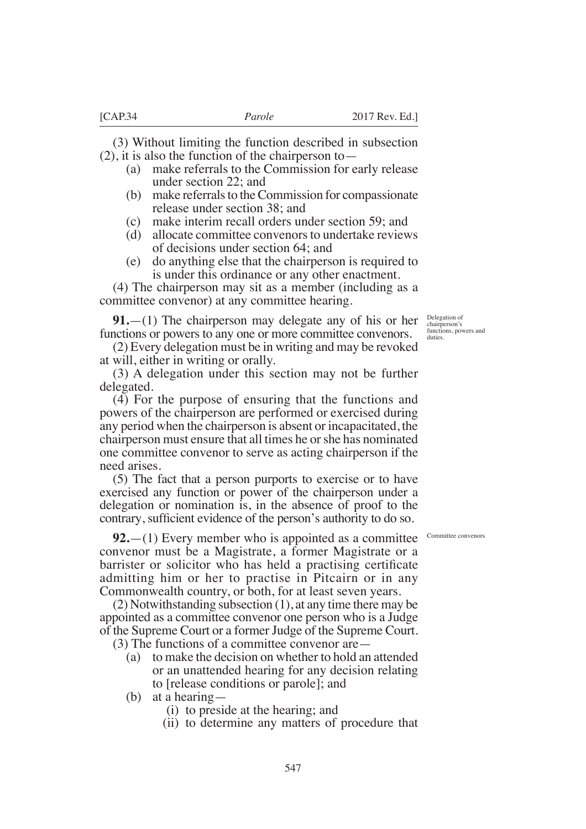(3) Without limiting the function described in subsection (2), it is also the function of the chairperson to—

- (a) make referrals to the Commission for early release under section 22; and
- (b) make referrals to the Commission for compassionate release under section 38; and
- (c) make interim recall orders under section 59; and
- (d) allocate committee convenors to undertake reviews of decisions under section 64; and
- (e) do anything else that the chairperson is required to is under this ordinance or any other enactment.

(4) The chairperson may sit as a member (including as a committee convenor) at any committee hearing.

**91.**—(1) The chairperson may delegate any of his or her functions or powers to any one or more committee convenors.

(2) Every delegation must be in writing and may be revoked at will, either in writing or orally.

(3) A delegation under this section may not be further delegated.

(4) For the purpose of ensuring that the functions and powers of the chairperson are performed or exercised during any period when the chairperson is absent or incapacitated, the chairperson must ensure that all times he or she has nominated one committee convenor to serve as acting chairperson if the need arises.

(5) The fact that a person purports to exercise or to have exercised any function or power of the chairperson under a delegation or nomination is, in the absence of proof to the contrary, sufficient evidence of the person's authority to do so.

**92.**—(1) Every member who is appointed as a committee convenor must be a Magistrate, a former Magistrate or a barrister or solicitor who has held a practising certificate admitting him or her to practise in Pitcairn or in any Commonwealth country, or both, for at least seven years.

(2) Notwithstanding subsection (1), at any time there may be appointed as a committee convenor one person who is a Judge of the Supreme Court or a former Judge of the Supreme Court.

(3) The functions of a committee convenor are—

- (a) to make the decision on whether to hold an attended or an unattended hearing for any decision relating to [release conditions or parole]; and
- (b) at a hearing—
	- (i) to preside at the hearing; and
	- (ii) to determine any matters of procedure that

Delegation of chairperson's functions, powers and duties.

Committee convenors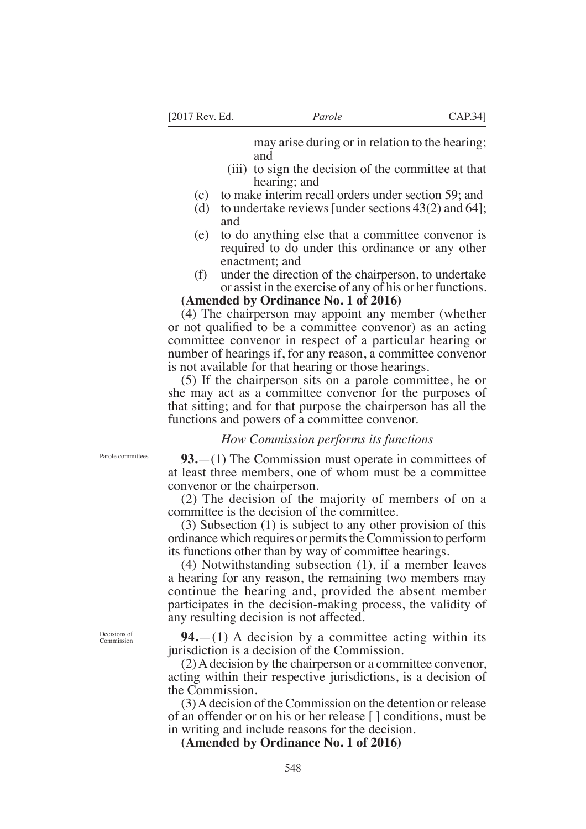may arise during or in relation to the hearing; and

- (iii) to sign the decision of the committee at that hearing; and
- (c) to make interim recall orders under section 59; and
- (d) to undertake reviews [under sections 43(2) and 64]; and
- (e) to do anything else that a committee convenor is required to do under this ordinance or any other enactment; and
- (f) under the direction of the chairperson, to undertake or assist in the exercise of any of his or her functions.

### **(Amended by Ordinance No. 1 of 2016)**

(4) The chairperson may appoint any member (whether or not qualified to be a committee convenor) as an acting committee convenor in respect of a particular hearing or number of hearings if, for any reason, a committee convenor is not available for that hearing or those hearings.

(5) If the chairperson sits on a parole committee, he or she may act as a committee convenor for the purposes of that sitting; and for that purpose the chairperson has all the functions and powers of a committee convenor.

### *How Commission performs its functions*

Parole committees

**93.**—(1) The Commission must operate in committees of at least three members, one of whom must be a committee convenor or the chairperson.

(2) The decision of the majority of members of on a committee is the decision of the committee.

(3) Subsection (1) is subject to any other provision of this ordinance which requires or permits the Commission to perform its functions other than by way of committee hearings.

(4) Notwithstanding subsection (1), if a member leaves a hearing for any reason, the remaining two members may continue the hearing and, provided the absent member participates in the decision-making process, the validity of any resulting decision is not affected.

**94.**—(1) A decision by a committee acting within its jurisdiction is a decision of the Commission.

(2) A decision by the chairperson or a committee convenor, acting within their respective jurisdictions, is a decision of the Commission.

(3) A decision of the Commission on the detention or release of an offender or on his or her release [ ] conditions, must be in writing and include reasons for the decision.

**(Amended by Ordinance No. 1 of 2016)**

Decisions of Commissi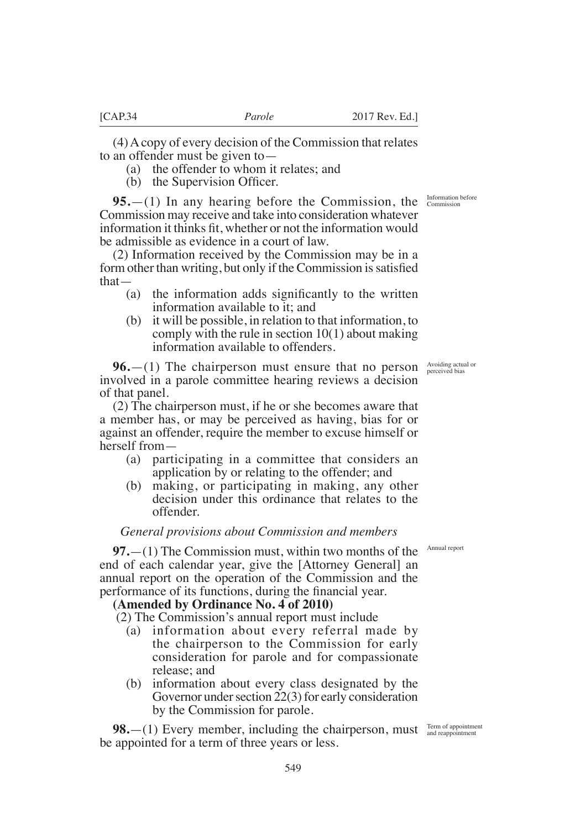(4) A copy of every decision of the Commission that relates to an offender must be given to—

(a) the offender to whom it relates; and

 $(b)$  the Supervision Officer.

**95.**—(1) In any hearing before the Commission, the Commission may receive and take into consideration whatever information it thinks fit, whether or not the information would be admissible as evidence in a court of law.

(2) Information received by the Commission may be in a form other than writing, but only if the Commission is satisfied that—

- (a) the information adds significantly to the written information available to it; and
- (b) it will be possible, in relation to that information, to comply with the rule in section 10(1) about making information available to offenders.

**96.**—(1) The chairperson must ensure that no person involved in a parole committee hearing reviews a decision of that panel.

(2) The chairperson must, if he or she becomes aware that a member has, or may be perceived as having, bias for or against an offender, require the member to excuse himself or herself from—

- (a) participating in a committee that considers an application by or relating to the offender; and
- (b) making, or participating in making, any other decision under this ordinance that relates to the offender.

### *General provisions about Commission and members*

**97.**—(1) The Commission must, within two months of the end of each calendar year, give the [Attorney General] an annual report on the operation of the Commission and the performance of its functions, during the financial year.

#### **(Amended by Ordinance No. 4 of 2010)**

(2) The Commission's annual report must include

- (a) information about every referral made by the chairperson to the Commission for early consideration for parole and for compassionate release; and
- (b) information about every class designated by the Governor under section  $22(3)$  for early consideration by the Commission for parole.

**98.**—(1) Every member, including the chairperson, must  $\frac{Term\ of\ appointment}{and\ re\ appointment}$ be appointed for a term of three years or less.

Information before Commission

Avoiding actual or perceived bias

Annual report